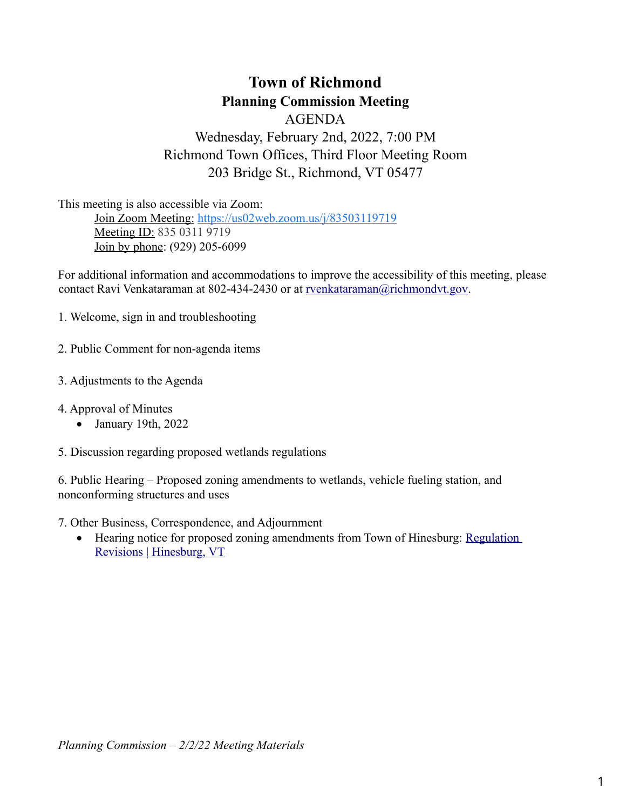# **Town of Richmond Planning Commission Meeting**

AGENDA Wednesday, February 2nd, 2022, 7:00 PM Richmond Town Offices, Third Floor Meeting Room 203 Bridge St., Richmond, VT 05477

This meeting is also accessible via Zoom: Join Zoom Meeting: [https://us02web.zoom.us/j/83503119719](https://www.google.com/url?q=https://us02web.zoom.us/j/83503119719&sa=D&source=calendar&ust=1636377225818913&usg=AOvVaw27T2wfUkqlUmAZ66JACaAU) Meeting ID: 835 0311 9719 Join by phone: (929) 205-6099

For additional information and accommodations to improve the accessibility of this meeting, please contact Ravi Venkataraman at 802-434-2430 or at [rvenkataraman@richmondvt.gov](mailto:rvenkataraman@richmondvt.gov).

1. Welcome, sign in and troubleshooting

2. Public Comment for non-agenda items

- 3. Adjustments to the Agenda
- 4. Approval of Minutes
	- January 19th, 2022
- 5. Discussion regarding proposed wetlands regulations

6. Public Hearing – Proposed zoning amendments to wetlands, vehicle fueling station, and nonconforming structures and uses

- 7. Other Business, Correspondence, and Adjournment
	- Hearing notice for proposed zoning amendments from Town of Hinesburg: Regulation [Revisions | Hinesburg, VT](https://www.hinesburg.org/planning-zoning/pages/regulation-revisions)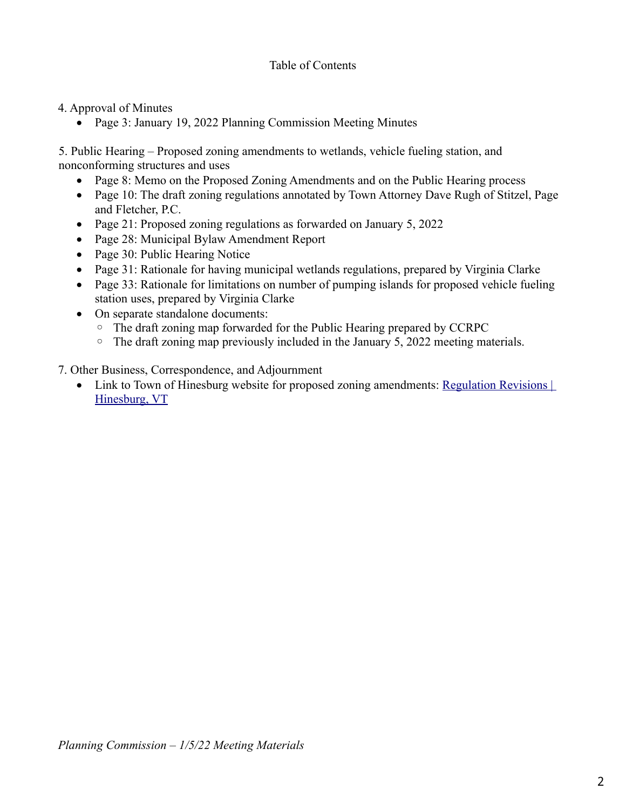4. Approval of Minutes

• Page 3: January 19, 2022 Planning Commission Meeting Minutes

5. Public Hearing – Proposed zoning amendments to wetlands, vehicle fueling station, and nonconforming structures and uses

- Page 8: Memo on the Proposed Zoning Amendments and on the Public Hearing process
- Page 10: The draft zoning regulations annotated by Town Attorney Dave Rugh of Stitzel, Page and Fletcher, P.C.
- Page 21: Proposed zoning regulations as forwarded on January 5, 2022
- Page 28: Municipal Bylaw Amendment Report
- Page 30: Public Hearing Notice
- Page 31: Rationale for having municipal wetlands regulations, prepared by Virginia Clarke
- Page 33: Rationale for limitations on number of pumping islands for proposed vehicle fueling station uses, prepared by Virginia Clarke
- On separate standalone documents:
	- The draft zoning map forwarded for the Public Hearing prepared by CCRPC
	- The draft zoning map previously included in the January 5, 2022 meeting materials.
- 7. Other Business, Correspondence, and Adjournment
	- Link to Town of Hinesburg website for proposed zoning amendments: [Regulation Revisions |](https://www.hinesburg.org/planning-zoning/pages/regulation-revisions)  [Hinesburg, VT](https://www.hinesburg.org/planning-zoning/pages/regulation-revisions)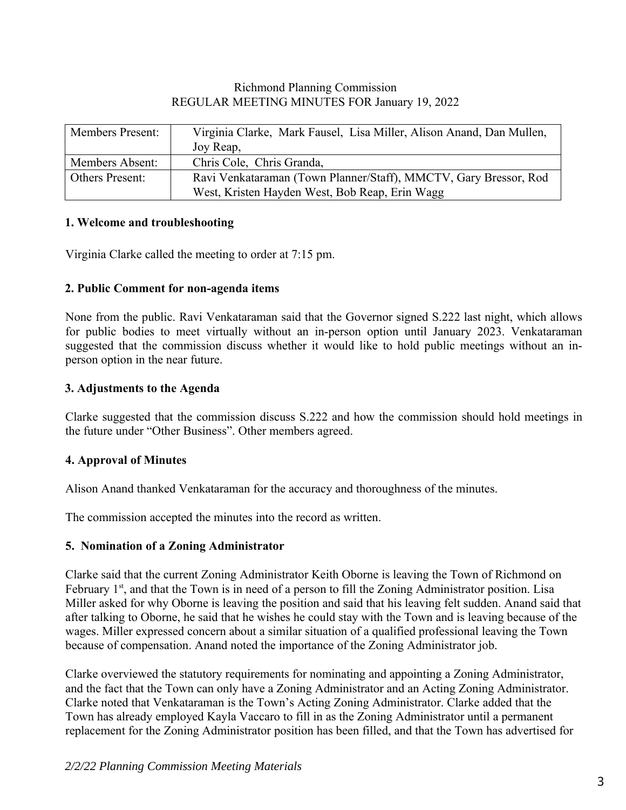# Richmond Planning Commission REGULAR MEETING MINUTES FOR January 19, 2022

| <b>Members Present:</b> | Virginia Clarke, Mark Fausel, Lisa Miller, Alison Anand, Dan Mullen, |
|-------------------------|----------------------------------------------------------------------|
|                         | Joy Reap,                                                            |
| Members Absent:         | Chris Cole, Chris Granda,                                            |
| <b>Others Present:</b>  | Ravi Venkataraman (Town Planner/Staff), MMCTV, Gary Bressor, Rod     |
|                         | West, Kristen Hayden West, Bob Reap, Erin Wagg                       |

### **1. Welcome and troubleshooting**

Virginia Clarke called the meeting to order at 7:15 pm.

### **2. Public Comment for non-agenda items**

None from the public. Ravi Venkataraman said that the Governor signed S.222 last night, which allows for public bodies to meet virtually without an in-person option until January 2023. Venkataraman suggested that the commission discuss whether it would like to hold public meetings without an inperson option in the near future.

# **3. Adjustments to the Agenda**

Clarke suggested that the commission discuss S.222 and how the commission should hold meetings in the future under "Other Business". Other members agreed.

# **4. Approval of Minutes**

Alison Anand thanked Venkataraman for the accuracy and thoroughness of the minutes.

The commission accepted the minutes into the record as written.

# **5. Nomination of a Zoning Administrator**

Clarke said that the current Zoning Administrator Keith Oborne is leaving the Town of Richmond on February  $1<sup>st</sup>$ , and that the Town is in need of a person to fill the Zoning Administrator position. Lisa Miller asked for why Oborne is leaving the position and said that his leaving felt sudden. Anand said that after talking to Oborne, he said that he wishes he could stay with the Town and is leaving because of the wages. Miller expressed concern about a similar situation of a qualified professional leaving the Town because of compensation. Anand noted the importance of the Zoning Administrator job.

Clarke overviewed the statutory requirements for nominating and appointing a Zoning Administrator, and the fact that the Town can only have a Zoning Administrator and an Acting Zoning Administrator. Clarke noted that Venkataraman is the Town's Acting Zoning Administrator. Clarke added that the Town has already employed Kayla Vaccaro to fill in as the Zoning Administrator until a permanent replacement for the Zoning Administrator position has been filled, and that the Town has advertised for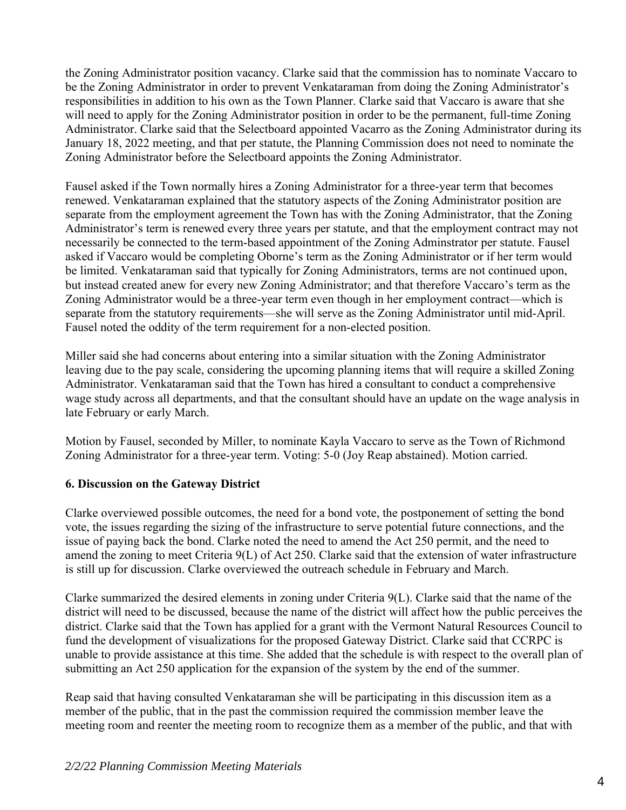the Zoning Administrator position vacancy. Clarke said that the commission has to nominate Vaccaro to be the Zoning Administrator in order to prevent Venkataraman from doing the Zoning Administrator's responsibilities in addition to his own as the Town Planner. Clarke said that Vaccaro is aware that she will need to apply for the Zoning Administrator position in order to be the permanent, full-time Zoning Administrator. Clarke said that the Selectboard appointed Vacarro as the Zoning Administrator during its January 18, 2022 meeting, and that per statute, the Planning Commission does not need to nominate the Zoning Administrator before the Selectboard appoints the Zoning Administrator.

Fausel asked if the Town normally hires a Zoning Administrator for a three-year term that becomes renewed. Venkataraman explained that the statutory aspects of the Zoning Administrator position are separate from the employment agreement the Town has with the Zoning Administrator, that the Zoning Administrator's term is renewed every three years per statute, and that the employment contract may not necessarily be connected to the term-based appointment of the Zoning Adminstrator per statute. Fausel asked if Vaccaro would be completing Oborne's term as the Zoning Administrator or if her term would be limited. Venkataraman said that typically for Zoning Administrators, terms are not continued upon, but instead created anew for every new Zoning Administrator; and that therefore Vaccaro's term as the Zoning Administrator would be a three-year term even though in her employment contract—which is separate from the statutory requirements—she will serve as the Zoning Administrator until mid-April. Fausel noted the oddity of the term requirement for a non-elected position.

Miller said she had concerns about entering into a similar situation with the Zoning Administrator leaving due to the pay scale, considering the upcoming planning items that will require a skilled Zoning Administrator. Venkataraman said that the Town has hired a consultant to conduct a comprehensive wage study across all departments, and that the consultant should have an update on the wage analysis in late February or early March.

Motion by Fausel, seconded by Miller, to nominate Kayla Vaccaro to serve as the Town of Richmond Zoning Administrator for a three-year term. Voting: 5-0 (Joy Reap abstained). Motion carried.

# **6. Discussion on the Gateway District**

Clarke overviewed possible outcomes, the need for a bond vote, the postponement of setting the bond vote, the issues regarding the sizing of the infrastructure to serve potential future connections, and the issue of paying back the bond. Clarke noted the need to amend the Act 250 permit, and the need to amend the zoning to meet Criteria 9(L) of Act 250. Clarke said that the extension of water infrastructure is still up for discussion. Clarke overviewed the outreach schedule in February and March.

Clarke summarized the desired elements in zoning under Criteria 9(L). Clarke said that the name of the district will need to be discussed, because the name of the district will affect how the public perceives the district. Clarke said that the Town has applied for a grant with the Vermont Natural Resources Council to fund the development of visualizations for the proposed Gateway District. Clarke said that CCRPC is unable to provide assistance at this time. She added that the schedule is with respect to the overall plan of submitting an Act 250 application for the expansion of the system by the end of the summer.

Reap said that having consulted Venkataraman she will be participating in this discussion item as a member of the public, that in the past the commission required the commission member leave the meeting room and reenter the meeting room to recognize them as a member of the public, and that with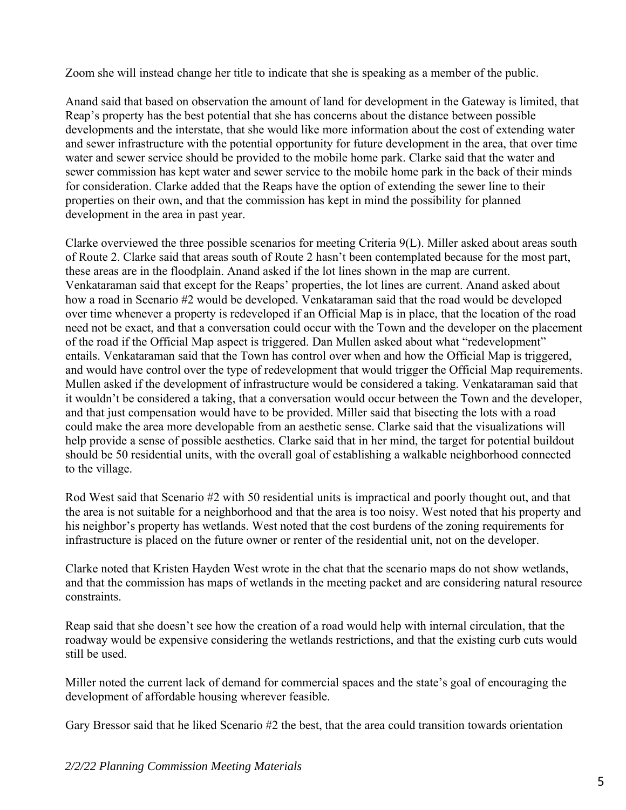Zoom she will instead change her title to indicate that she is speaking as a member of the public.

Anand said that based on observation the amount of land for development in the Gateway is limited, that Reap's property has the best potential that she has concerns about the distance between possible developments and the interstate, that she would like more information about the cost of extending water and sewer infrastructure with the potential opportunity for future development in the area, that over time water and sewer service should be provided to the mobile home park. Clarke said that the water and sewer commission has kept water and sewer service to the mobile home park in the back of their minds for consideration. Clarke added that the Reaps have the option of extending the sewer line to their properties on their own, and that the commission has kept in mind the possibility for planned development in the area in past year.

Clarke overviewed the three possible scenarios for meeting Criteria 9(L). Miller asked about areas south of Route 2. Clarke said that areas south of Route 2 hasn't been contemplated because for the most part, these areas are in the floodplain. Anand asked if the lot lines shown in the map are current. Venkataraman said that except for the Reaps' properties, the lot lines are current. Anand asked about how a road in Scenario #2 would be developed. Venkataraman said that the road would be developed over time whenever a property is redeveloped if an Official Map is in place, that the location of the road need not be exact, and that a conversation could occur with the Town and the developer on the placement of the road if the Official Map aspect is triggered. Dan Mullen asked about what "redevelopment" entails. Venkataraman said that the Town has control over when and how the Official Map is triggered, and would have control over the type of redevelopment that would trigger the Official Map requirements. Mullen asked if the development of infrastructure would be considered a taking. Venkataraman said that it wouldn't be considered a taking, that a conversation would occur between the Town and the developer, and that just compensation would have to be provided. Miller said that bisecting the lots with a road could make the area more developable from an aesthetic sense. Clarke said that the visualizations will help provide a sense of possible aesthetics. Clarke said that in her mind, the target for potential buildout should be 50 residential units, with the overall goal of establishing a walkable neighborhood connected to the village.

Rod West said that Scenario #2 with 50 residential units is impractical and poorly thought out, and that the area is not suitable for a neighborhood and that the area is too noisy. West noted that his property and his neighbor's property has wetlands. West noted that the cost burdens of the zoning requirements for infrastructure is placed on the future owner or renter of the residential unit, not on the developer.

Clarke noted that Kristen Hayden West wrote in the chat that the scenario maps do not show wetlands, and that the commission has maps of wetlands in the meeting packet and are considering natural resource constraints.

Reap said that she doesn't see how the creation of a road would help with internal circulation, that the roadway would be expensive considering the wetlands restrictions, and that the existing curb cuts would still be used.

Miller noted the current lack of demand for commercial spaces and the state's goal of encouraging the development of affordable housing wherever feasible.

Gary Bressor said that he liked Scenario #2 the best, that the area could transition towards orientation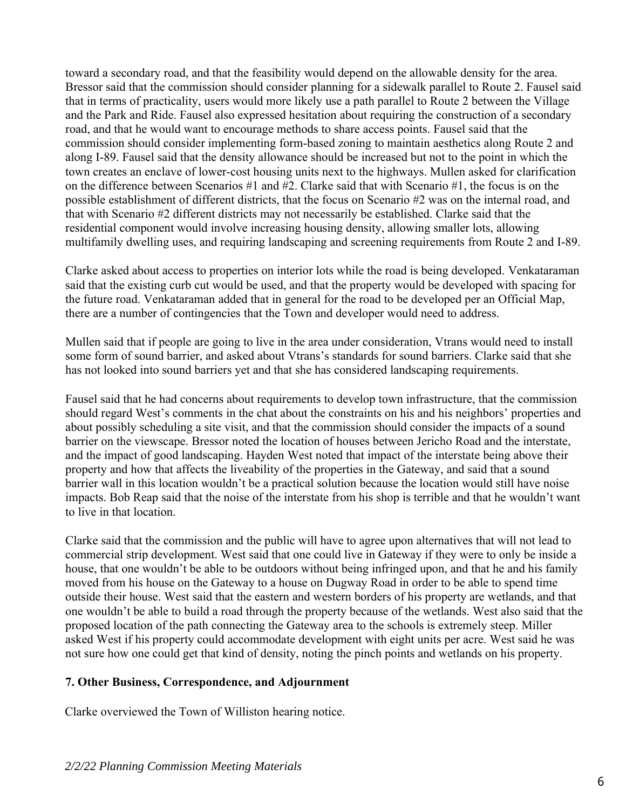toward a secondary road, and that the feasibility would depend on the allowable density for the area. Bressor said that the commission should consider planning for a sidewalk parallel to Route 2. Fausel said that in terms of practicality, users would more likely use a path parallel to Route 2 between the Village and the Park and Ride. Fausel also expressed hesitation about requiring the construction of a secondary road, and that he would want to encourage methods to share access points. Fausel said that the commission should consider implementing form-based zoning to maintain aesthetics along Route 2 and along I-89. Fausel said that the density allowance should be increased but not to the point in which the town creates an enclave of lower-cost housing units next to the highways. Mullen asked for clarification on the difference between Scenarios #1 and #2. Clarke said that with Scenario #1, the focus is on the possible establishment of different districts, that the focus on Scenario #2 was on the internal road, and that with Scenario #2 different districts may not necessarily be established. Clarke said that the residential component would involve increasing housing density, allowing smaller lots, allowing multifamily dwelling uses, and requiring landscaping and screening requirements from Route 2 and I-89.

Clarke asked about access to properties on interior lots while the road is being developed. Venkataraman said that the existing curb cut would be used, and that the property would be developed with spacing for the future road. Venkataraman added that in general for the road to be developed per an Official Map, there are a number of contingencies that the Town and developer would need to address.

Mullen said that if people are going to live in the area under consideration, Vtrans would need to install some form of sound barrier, and asked about Vtrans's standards for sound barriers. Clarke said that she has not looked into sound barriers yet and that she has considered landscaping requirements.

Fausel said that he had concerns about requirements to develop town infrastructure, that the commission should regard West's comments in the chat about the constraints on his and his neighbors' properties and about possibly scheduling a site visit, and that the commission should consider the impacts of a sound barrier on the viewscape. Bressor noted the location of houses between Jericho Road and the interstate, and the impact of good landscaping. Hayden West noted that impact of the interstate being above their property and how that affects the liveability of the properties in the Gateway, and said that a sound barrier wall in this location wouldn't be a practical solution because the location would still have noise impacts. Bob Reap said that the noise of the interstate from his shop is terrible and that he wouldn't want to live in that location.

Clarke said that the commission and the public will have to agree upon alternatives that will not lead to commercial strip development. West said that one could live in Gateway if they were to only be inside a house, that one wouldn't be able to be outdoors without being infringed upon, and that he and his family moved from his house on the Gateway to a house on Dugway Road in order to be able to spend time outside their house. West said that the eastern and western borders of his property are wetlands, and that one wouldn't be able to build a road through the property because of the wetlands. West also said that the proposed location of the path connecting the Gateway area to the schools is extremely steep. Miller asked West if his property could accommodate development with eight units per acre. West said he was not sure how one could get that kind of density, noting the pinch points and wetlands on his property.

# **7. Other Business, Correspondence, and Adjournment**

Clarke overviewed the Town of Williston hearing notice.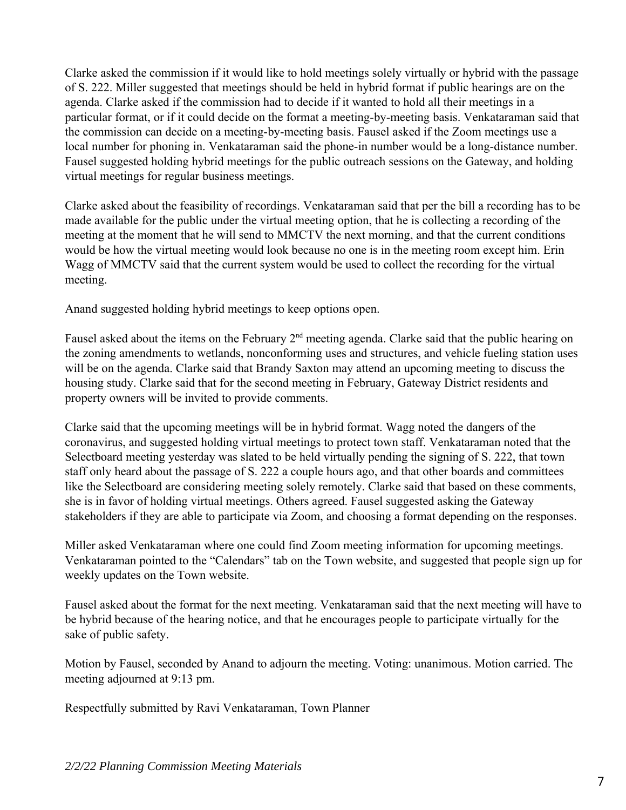Clarke asked the commission if it would like to hold meetings solely virtually or hybrid with the passage of S. 222. Miller suggested that meetings should be held in hybrid format if public hearings are on the agenda. Clarke asked if the commission had to decide if it wanted to hold all their meetings in a particular format, or if it could decide on the format a meeting-by-meeting basis. Venkataraman said that the commission can decide on a meeting-by-meeting basis. Fausel asked if the Zoom meetings use a local number for phoning in. Venkataraman said the phone-in number would be a long-distance number. Fausel suggested holding hybrid meetings for the public outreach sessions on the Gateway, and holding virtual meetings for regular business meetings.

Clarke asked about the feasibility of recordings. Venkataraman said that per the bill a recording has to be made available for the public under the virtual meeting option, that he is collecting a recording of the meeting at the moment that he will send to MMCTV the next morning, and that the current conditions would be how the virtual meeting would look because no one is in the meeting room except him. Erin Wagg of MMCTV said that the current system would be used to collect the recording for the virtual meeting.

Anand suggested holding hybrid meetings to keep options open.

Fausel asked about the items on the February  $2<sup>nd</sup>$  meeting agenda. Clarke said that the public hearing on the zoning amendments to wetlands, nonconforming uses and structures, and vehicle fueling station uses will be on the agenda. Clarke said that Brandy Saxton may attend an upcoming meeting to discuss the housing study. Clarke said that for the second meeting in February, Gateway District residents and property owners will be invited to provide comments.

Clarke said that the upcoming meetings will be in hybrid format. Wagg noted the dangers of the coronavirus, and suggested holding virtual meetings to protect town staff. Venkataraman noted that the Selectboard meeting yesterday was slated to be held virtually pending the signing of S. 222, that town staff only heard about the passage of S. 222 a couple hours ago, and that other boards and committees like the Selectboard are considering meeting solely remotely. Clarke said that based on these comments, she is in favor of holding virtual meetings. Others agreed. Fausel suggested asking the Gateway stakeholders if they are able to participate via Zoom, and choosing a format depending on the responses.

Miller asked Venkataraman where one could find Zoom meeting information for upcoming meetings. Venkataraman pointed to the "Calendars" tab on the Town website, and suggested that people sign up for weekly updates on the Town website.

Fausel asked about the format for the next meeting. Venkataraman said that the next meeting will have to be hybrid because of the hearing notice, and that he encourages people to participate virtually for the sake of public safety.

Motion by Fausel, seconded by Anand to adjourn the meeting. Voting: unanimous. Motion carried. The meeting adjourned at 9:13 pm.

Respectfully submitted by Ravi Venkataraman, Town Planner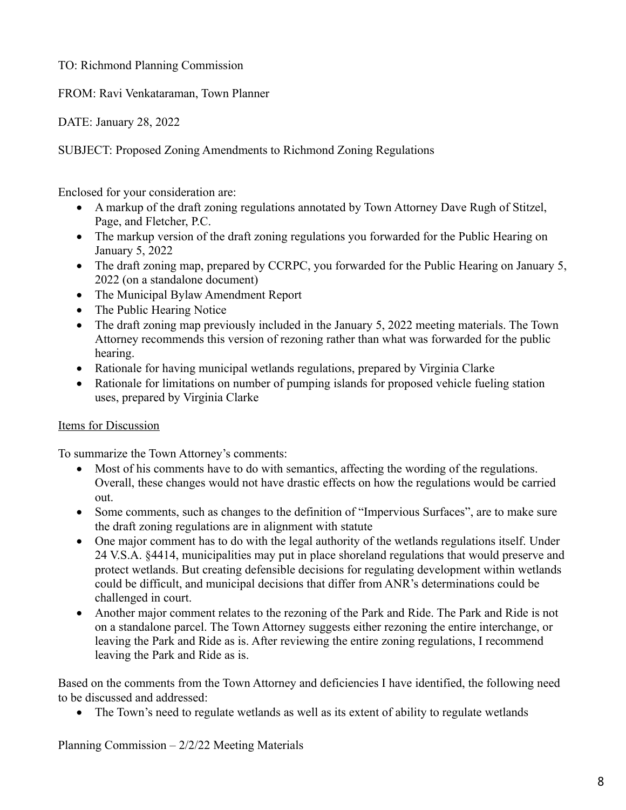TO: Richmond Planning Commission

FROM: Ravi Venkataraman, Town Planner

DATE: January 28, 2022

SUBJECT: Proposed Zoning Amendments to Richmond Zoning Regulations

Enclosed for your consideration are:

- A markup of the draft zoning regulations annotated by Town Attorney Dave Rugh of Stitzel, Page, and Fletcher, P.C.
- The markup version of the draft zoning regulations you forwarded for the Public Hearing on January 5, 2022
- The draft zoning map, prepared by CCRPC, you forwarded for the Public Hearing on January 5, 2022 (on a standalone document)
- The Municipal Bylaw Amendment Report
- The Public Hearing Notice
- The draft zoning map previously included in the January 5, 2022 meeting materials. The Town Attorney recommends this version of rezoning rather than what was forwarded for the public hearing.
- Rationale for having municipal wetlands regulations, prepared by Virginia Clarke
- Rationale for limitations on number of pumping islands for proposed vehicle fueling station uses, prepared by Virginia Clarke

# Items for Discussion

To summarize the Town Attorney's comments:

- Most of his comments have to do with semantics, affecting the wording of the regulations. Overall, these changes would not have drastic effects on how the regulations would be carried out.
- Some comments, such as changes to the definition of "Impervious Surfaces", are to make sure the draft zoning regulations are in alignment with statute
- One major comment has to do with the legal authority of the wetlands regulations itself. Under 24 V.S.A. §4414, municipalities may put in place shoreland regulations that would preserve and protect wetlands. But creating defensible decisions for regulating development within wetlands could be difficult, and municipal decisions that differ from ANR's determinations could be challenged in court.
- Another major comment relates to the rezoning of the Park and Ride. The Park and Ride is not on a standalone parcel. The Town Attorney suggests either rezoning the entire interchange, or leaving the Park and Ride as is. After reviewing the entire zoning regulations, I recommend leaving the Park and Ride as is.

Based on the comments from the Town Attorney and deficiencies I have identified, the following need to be discussed and addressed:

• The Town's need to regulate wetlands as well as its extent of ability to regulate wetlands

Planning Commission – 2/2/22 Meeting Materials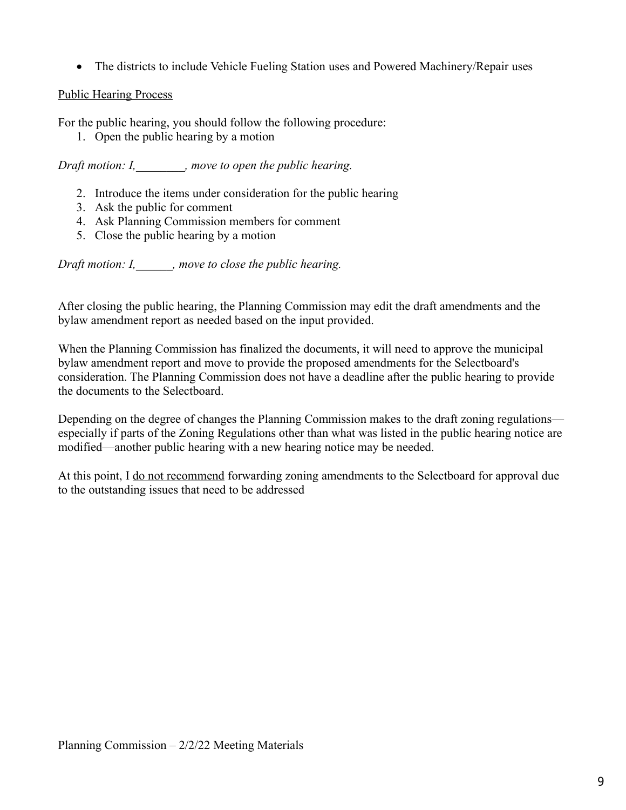• The districts to include Vehicle Fueling Station uses and Powered Machinery/Repair uses

# Public Hearing Process

For the public hearing, you should follow the following procedure:

1. Open the public hearing by a motion

*Draft motion: I,\_\_\_\_\_\_\_\_, move to open the public hearing.*

- 2. Introduce the items under consideration for the public hearing
- 3. Ask the public for comment
- 4. Ask Planning Commission members for comment
- 5. Close the public hearing by a motion

*Draft motion: I,\_\_\_\_\_\_, move to close the public hearing.*

After closing the public hearing, the Planning Commission may edit the draft amendments and the bylaw amendment report as needed based on the input provided.

When the Planning Commission has finalized the documents, it will need to approve the municipal bylaw amendment report and move to provide the proposed amendments for the Selectboard's consideration. The Planning Commission does not have a deadline after the public hearing to provide the documents to the Selectboard.

Depending on the degree of changes the Planning Commission makes to the draft zoning regulations especially if parts of the Zoning Regulations other than what was listed in the public hearing notice are modified—another public hearing with a new hearing notice may be needed.

At this point, I do not recommend forwarding zoning amendments to the Selectboard for approval due to the outstanding issues that need to be addressed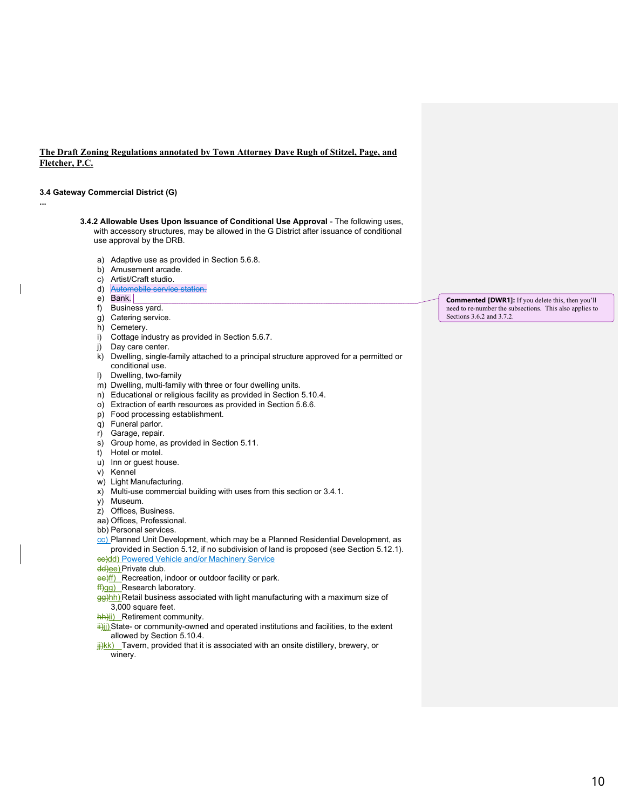#### The Draft Zoning Regulations annotated by Town Attorney Dave Rugh of Stitzel, Page, and Fletcher, P.C.

#### 3.4 Gateway Commercial District (G)

...

- 3.4.2 Allowable Uses Upon Issuance of Conditional Use Approval The following uses, with accessory structures, may be allowed in the G District after issuance of conditional use approval by the DRB.
	- a) Adaptive use as provided in Section 5.6.8.
	- b) Amusement arcade.
	- c) Artist/Craft studio.
	- d) Automobile service station.
	- e) Bank.
	- f) Business yard.
	- g) Catering service.
	- h) Cemetery.
	- i) Cottage industry as provided in Section 5.6.7.
	- j) Day care center.
	- k) Dwelling, single-family attached to a principal structure approved for a permitted or conditional use.
	- l) Dwelling, two-family
	- m) Dwelling, multi-family with three or four dwelling units.
	- n) Educational or religious facility as provided in Section 5.10.4.
	- o) Extraction of earth resources as provided in Section 5.6.6.
	- p) Food processing establishment.
	- q) Funeral parlor.
	- r) Garage, repair.
	- s) Group home, as provided in Section 5.11.
	- t) Hotel or motel.
	- u) Inn or guest house.
	- v) Kennel
	- w) Light Manufacturing.
	- x) Multi-use commercial building with uses from this section or 3.4.1.
	- y) Museum.
	- z) Offices, Business.
	- aa) Offices, Professional.
	- bb) Personal services.
	- cc) Planned Unit Development, which may be a Planned Residential Development, as provided in Section 5.12, if no subdivision of land is proposed (see Section 5.12.1). ec)dd) Powered Vehicle and/or Machinery Service
	- dd)ee) Private club.
	- ee)ff) Recreation, indoor or outdoor facility or park.
	- ff)gg) Research laboratory.
	- gg)hh) Retail business associated with light manufacturing with a maximum size of 3,000 square feet.
	- hh)ii) Retirement community.
	- $\frac{d}{dx}$ ) State- or community-owned and operated institutions and facilities, to the extent allowed by Section 5.10.4.
	- $\frac{H}{I}$ kk) Tavern, provided that it is associated with an onsite distillery, brewery, or winery.

Commented [DWR1]: If you delete this, then you'll need to re-number the subsections. This also applies to Sections 3.6.2 and 3.7.2.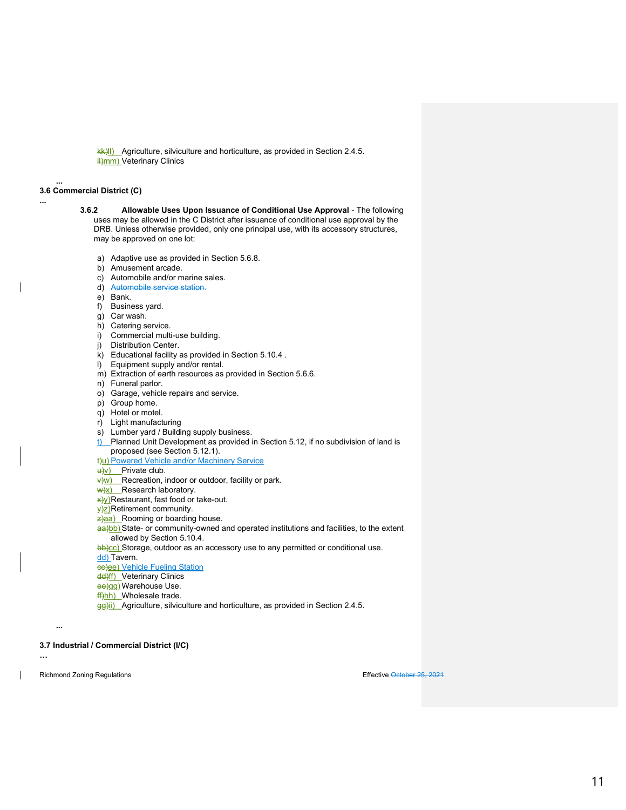$k(x)$ ll) Agriculture, silviculture and horticulture, as provided in Section 2.4.5. **H**)mm) Veterinary Clinics

#### 3.6 Commercial District (C)

...

...

- 3.6.2 Allowable Uses Upon Issuance of Conditional Use Approval The following uses may be allowed in the C District after issuance of conditional use approval by the DRB. Unless otherwise provided, only one principal use, with its accessory structures, may be approved on one lot:
	- a) Adaptive use as provided in Section 5.6.8.
	- b) Amusement arcade.
	- c) Automobile and/or marine sales.
	- d) Automobile service station.
	- e) Bank.
	- f) Business yard.
	- g) Car wash.
	- h) Catering service.
	- i) Commercial multi-use building.
	- j) Distribution Center.
	- k) Educational facility as provided in Section 5.10.4 .
	- l) Equipment supply and/or rental.
	- m) Extraction of earth resources as provided in Section 5.6.6.
	- n) Funeral parlor.
	- o) Garage, vehicle repairs and service.
	- p) Group home.
	- q) Hotel or motel.
	- r) Light manufacturing
	- s) Lumber yard / Building supply business.
	- $t$ ) Planned Unit Development as provided in Section 5.12, if no subdivision of land is proposed (see Section 5.12.1).

t)u) Powered Vehicle and/or Machinery Service

 $\downarrow$ v) Private club.

 $\frac{v}{w}$  Recreation, indoor or outdoor, facility or park.

- $\frac{w}{x}$  Research laboratory.
- x)y) Restaurant, fast food or take-out.
- $\frac{y}{z}$ Retirement community.
- $\frac{z}{2}$ aa) Rooming or boarding house.
- aa)bb) State- or community-owned and operated institutions and facilities, to the extent allowed by Section 5.10.4.

bb)cc) Storage, outdoor as an accessory use to any permitted or conditional use.

dd) Tavern.

- cc)ee) Vehicle Fueling Station
- dd)ff) Veterinary Clinics
- ee)gg) Warehouse Use.
- ff<sub>)hh</sub>) Wholesale trade.
- gg)ii) Agriculture, silviculture and horticulture, as provided in Section 2.4.5.

3.7 Industrial / Commercial District (I/C)

Richmond Zoning Regulations **Effective October 25, 2021** 

...

…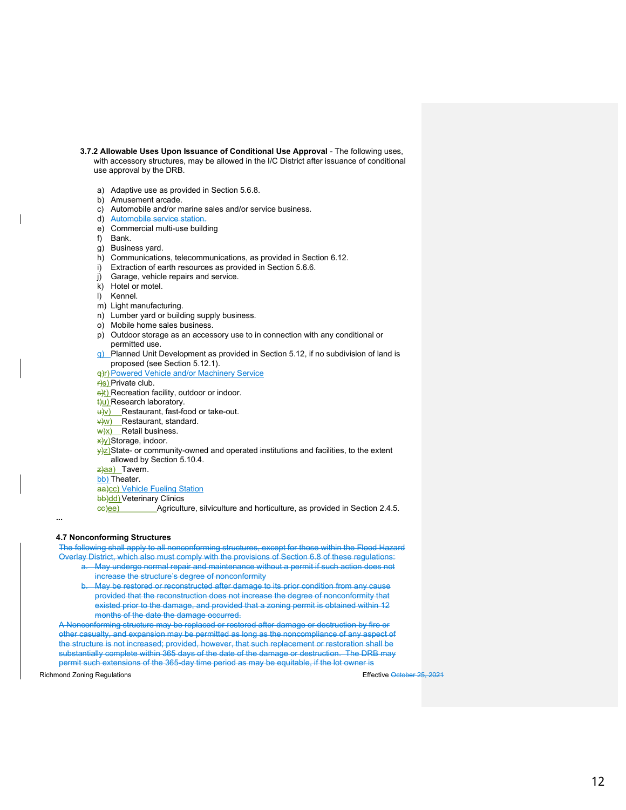- 3.7.2 Allowable Uses Upon Issuance of Conditional Use Approval The following uses, with accessory structures, may be allowed in the I/C District after issuance of conditional use approval by the DRB.
	- a) Adaptive use as provided in Section 5.6.8.
	- b) Amusement arcade.
	- c) Automobile and/or marine sales and/or service business.
	- d) Automobile service station.
	- e) Commercial multi-use building
	- f) Bank.
	- g) Business yard.
	- h) Communications, telecommunications, as provided in Section 6.12.
	- i) Extraction of earth resources as provided in Section 5.6.6.
	- j) Garage, vehicle repairs and service.
	- k) Hotel or motel.
	- l) Kennel.
	- m) Light manufacturing.
	- n) Lumber yard or building supply business.
	- o) Mobile home sales business.
	- p) Outdoor storage as an accessory use to in connection with any conditional or permitted use.
	- $q)$  Planned Unit Development as provided in Section 5.12, if no subdivision of land is proposed (see Section 5.12.1).
	- q)r) Powered Vehicle and/or Machinery Service
	- r)s) Private club.
	- s)t) Recreation facility, outdoor or indoor.
	- t)u) Research laboratory.
	- u)v) Restaurant, fast-food or take-out.
	- v)w) Restaurant, standard.
	- $w(x)$  Retail business.
	- x)y) Storage, indoor.
	- $y$ <sub>2</sub>) State- or community-owned and operated institutions and facilities, to the extent allowed by Section 5.10.4.

 $z$ }aa) Tavern.

bb) Theater.

aa)cc) Vehicle Fueling Station

bb)dd) Veterinary Clinics

cc)ee) Agriculture, silviculture and horticulture, as provided in Section 2.4.5.

#### 4.7 Nonconforming Structures

...

The following shall apply to all nonconforming structures, except for those within the Flood Hazard

- Overlay District, which also must comply with the provisions of Section 6.8 of these regulations: a. May undergo normal repair and maintenance without a permit if such action does not
	- increase the structure's degree of nonconformity
	- May be restored or reconstructed after damage to its prior condition from any cause provided that the reconstruction does not increase the degree of nonconformity that existed prior to the damage, and provided that a zoning permit is obtained within 12 months of the date the damage occurred.

A Nonconforming structure may be replaced or restored after damage or destruction by fire or other casualty, and expansion may be permitted as long as the noncompliance of any aspect of the structure is not increased; provided, however, that such replacement or restoration shall be substantially complete within 365 days of the date of the damage or destruction. The DRB may permit such extensions of the 365-day time period as may be equitable, if the lot owner is

Richmond Zoning Regulations **Effective October 25, 2021**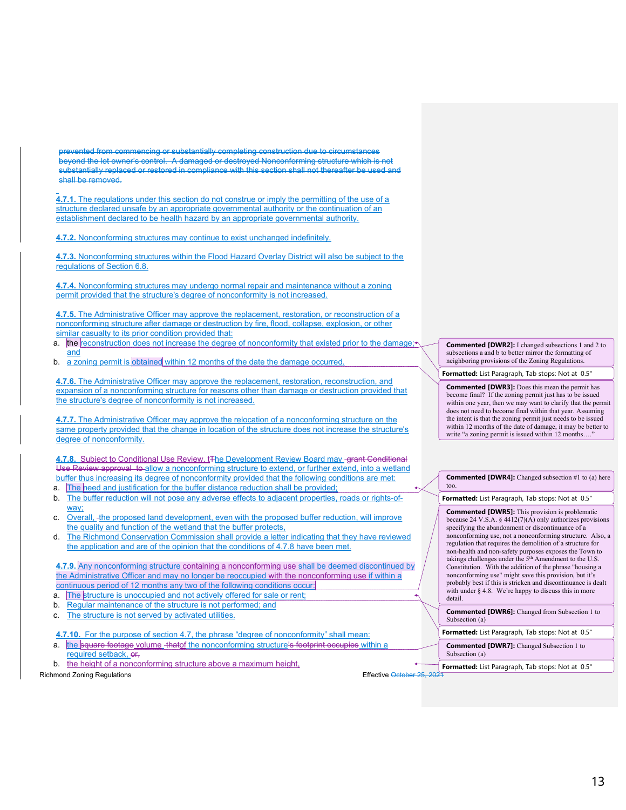prevented from commencing or substantially completing construction due to circumstances beyond the lot owner's control. A damaged or destroyed Nonconforming structure which is not substantially replaced or restored in compliance with this section shall not thereafter be used and shall be removed.

4.7.1. The regulations under this section do not construe or imply the permitting of the use of a structure declared unsafe by an appropriate governmental authority or the continuation of an establishment declared to be health hazard by an appropriate governmental authority.

4.7.2. Nonconforming structures may continue to exist unchanged indefinitely.

4.7.3. Nonconforming structures within the Flood Hazard Overlay District will also be subject to the regulations of Section 6.8.

4.7.4. Nonconforming structures may undergo normal repair and maintenance without a zoning permit provided that the structure's degree of nonconformity is not increased.

4.7.5. The Administrative Officer may approve the replacement, restoration, or reconstruction of a nonconforming structure after damage or destruction by fire, flood, collapse, explosion, or other similar casualty to its prior condition provided that:

- a. the reconstruction does not increase the degree of nonconformity that existed prior to the damage; and
- b. a zoning permit is obtained within 12 months of the date the damage occurred.

4.7.6. The Administrative Officer may approve the replacement, restoration, reconstruction, and expansion of a nonconforming structure for reasons other than damage or destruction provided that the structure's degree of nonconformity is not increased.

4.7.7. The Administrative Officer may approve the relocation of a nonconforming structure on the same property provided that the change in location of the structure does not increase the structure's degree of nonconformity.

4.7.8. Subject to Conditional Use Review, t<sub>The Development</sub> Review Board may grant Conditional Use Review approval to allow a nonconforming structure to extend, or further extend, into a wetland buffer thus increasing its degree of nonconformity provided that the following conditions are met:

- a. The need and justification for the buffer distance reduction shall be provided;
- b. The buffer reduction will not pose any adverse effects to adjacent properties, roads or rights-ofway;
- Overall, -the proposed land development, even with the proposed buffer reduction, will improve the quality and function of the wetland that the buffer protects,
- d. The Richmond Conservation Commission shall provide a letter indicating that they have reviewed the application and are of the opinion that the conditions of 4.7.8 have been met.

4.7.9. Any nonconforming structure containing a nonconforming use shall be deemed discontinued by the Administrative Officer and may no longer be reoccupied with the nonconforming use if within a continuous period of 12 months any two of the following conditions occur:

- a. The structure is unoccupied and not actively offered for sale or rent;
- b. Regular maintenance of the structure is not performed; and
- The structure is not served by activated utilities.

4.7.10. For the purpose of section 4.7, the phrase "degree of nonconformity" shall mean:

- a. the square footage volume thatof the nonconforming structure's footprint occupies within a required setback, or,
- b. the height of a nonconforming structure above a maximum height,

Richmond Zoning Regulations **Effective October 25, 2021** 

Commented [DWR2]: I changed subsections 1 and 2 to subsections a and b to better mirror the formatting of neighboring provisions of the Zoning Regulations.

Formatted: List Paragraph, Tab stops: Not at 0.5"

Commented [DWR3]: Does this mean the permit has become final? If the zoning permit just has to be issued within one year, then we may want to clarify that the permit does not need to become final within that year. Assuming the intent is that the zoning permit just needs to be issued within 12 months of the date of damage, it may be better to write "a zoning permit is issued within 12 months....

Commented [DWR4]: Changed subsection #1 to (a) here too.

Formatted: List Paragraph, Tab stops: Not at 0.5"

Commented [DWR5]: This provision is problematic because 24 V.S.A. §  $4412(7)(A)$  only authorizes provisions specifying the abandonment or discontinuance of a nonconforming use, not a nonconforming structure. Also, a regulation that requires the demolition of a structure for non-health and non-safety purposes exposes the Town to takings challenges under the 5<sup>th</sup> Amendment to the U.S. Constitution. With the addition of the phrase "housing a nonconforming use" might save this provision, but it's probably best if this is stricken and discontinuance is dealt with under § 4.8. We're happy to discuss this in more detail.

Commented [DWR6]: Changed from Subsection 1 to Subsection (a)

Formatted: List Paragraph, Tab stops: Not at 0.5"

Commented [DWR7]: Changed Subsection 1 to Subsection (a)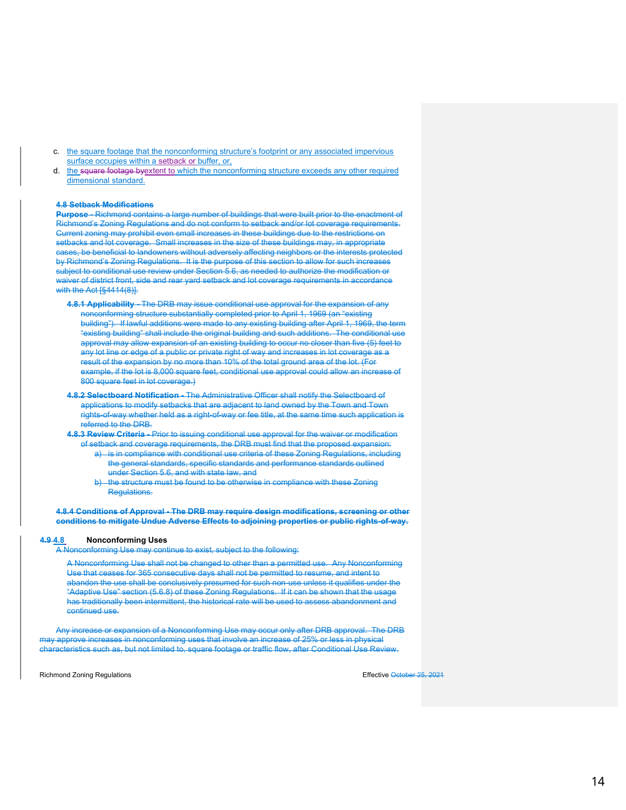- c. the square footage that the nonconforming structure's footprint or any associated impervious surface occupies within a setback or buffer, or,
- d. the square footage byextent to which the nonconforming structure exceeds any other required dimensional standard.

#### 4.8 Setback Modifications

Purpose - Richmond contains a large number of buildings that were built prior to the enactment of Richmond's Zoning Regulations and do not conform to setback and/or lot coverage requirements. Current zoning may prohibit even small increases in these buildings due to the restrictions on setbacks and lot coverage. Small increases in the size of these buildings may, in appropriate cases, be beneficial to landowners without adversely affecting neighbors or the interests protected by Richmond's Zoning Regulations. It is the purpose of this section to allow for such increases subject to conditional use review under Section 5.6, as needed to authorize the modification or waiver of district front, side and rear yard setback and lot coverage requirements in accordance with the Act [§4414(8)].

- 4.8.1 Applicability The DRB may issue conditional use approval for the expansion of any nonconforming structure substantially completed prior to April 1, 1969 (an "existing building"). If lawful additions were made to any existing building after April 1, 1969, the term "existing building" shall include the original building and such additions. The conditional use approval may allow expansion of an existing building to occur no closer than five (5) feet to any lot line or edge of a public or private right of way and increases in lot coverage as a result of the expansion by no more than 10% of the total ground area of the lot. (For example, if the lot is 8,000 square feet, conditional use approval could allow an increase of 800 square feet in lot coverage.)
- 4.8.2 Selectboard Notification The Administrative Officer shall notify the Selectboard of applications to modify setbacks that are adjacent to land owned by the Town and Town rights-of-way whether held as a right-of-way or fee title, at the same time such application is referred to the DRB.
- 4.8.3 Review Criteria Prior to issuing conditional use approval for the waiver or modification of setback and coverage requirements, the DRB must find that the proposed expansion:
	- a) is in compliance with conditional use criteria of these Zoning Regulations, including the general standards, specific standards and performance standards outlined under Section 5.6, and with state law, and
	- the structure must be found to be otherwise in compliance with these Zoning **Regulations.**

4.8.4 Conditions of Approval - The DRB may require design modifications, screening or other conditions to mitigate Undue Adverse Effects to adjoining properties or public rights-of-way.

#### 4.9 4.8 Nonconforming Uses

A Nonconforming Use may continue to exist, subject to the following:

A Nonconforming Use shall not be changed to other than a permitted use. Any Nonconforming Use that ceases for 365 consecutive days shall not be permitted to resume, and intent to abandon the use shall be conclusively presumed for such non-use unless it qualifies under the "Adaptive Use" section (5.6.8) of these Zoning Regulations. If it can be shown that the usage has traditionally been intermittent, the historical rate will be used to assess abandonment and continued use.

Any increase or expansion of a Nonconforming Use may occur only after DRB approval. The DRB may approve increases in nonconforming uses that involve an increase of 25% or less in physical characteristics such as, but not limited to, square footage or traffic flow, after Conditional Use Review.

Richmond Zoning Regulations **Effective October 25, 2021**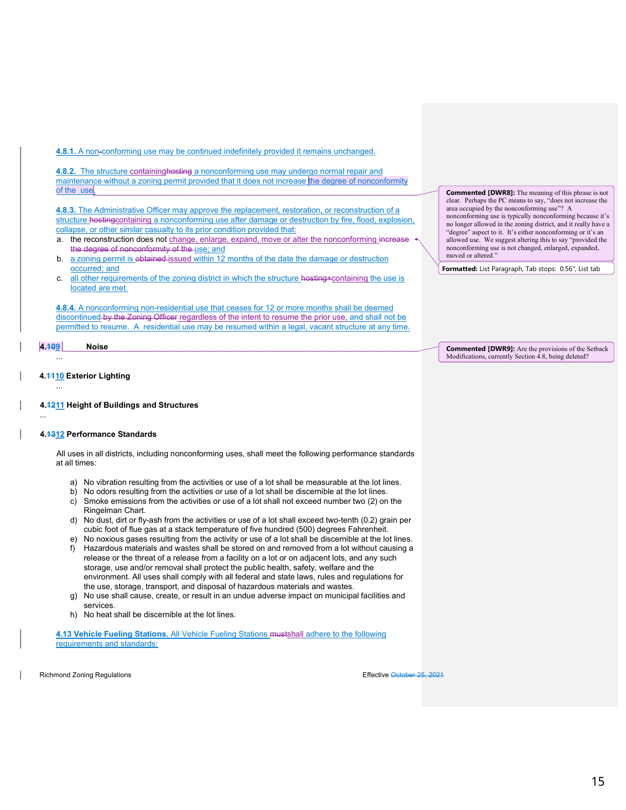4.8.1. A non-conforming use may be continued indefinitely provided it remains unchanged.

4.8.2. The structure containing hosting a nonconforming use may undergo normal repair and maintenance without a zoning permit provided that it does not increase the degree of nonconformity of the use

**4.8.3.** The Administrative Officer may approve the replacement, restoration, or reconstruction of a structure hostingcontaining a nonconforming use after damage or destruction by fire, flood, explosion, collapse, or other similar casualty to its prior condition provided that:

- a. the reconstruction does not change, enlarge, expand, move or alter the nonconforming increase the degree of nonconformity of the use; and
- b. a zoning permit is obtained-issued within 12 months of the date the damage or destruction occurred; and
- c. all other requirements of the zoning district in which the structure hosting+containing the use is located are met.

4.8.4. A nonconforming non-residential use that ceases for 12 or more months shall be deemed discontinued by the Zoning Officer regardless of the intent to resume the prior use, and shall not be permitted to resume. A residential use may be resumed within a legal, vacant structure at any time.

#### 4.109 Noise

...

...

#### 4.4410 Exterior Lighting ...

4.4211 Height of Buildings and Structures

#### 4.1312 Performance Standards

All uses in all districts, including nonconforming uses, shall meet the following performance standards at all times:

- a) No vibration resulting from the activities or use of a lot shall be measurable at the lot lines.
- b) No odors resulting from the activities or use of a lot shall be discernible at the lot lines.
- c) Smoke emissions from the activities or use of a lot shall not exceed number two (2) on the Ringelman Chart.
- d) No dust, dirt or fly-ash from the activities or use of a lot shall exceed two-tenth (0.2) grain per cubic foot of flue gas at a stack temperature of five hundred (500) degrees Fahrenheit.
- e) No noxious gases resulting from the activity or use of a lot shall be discernible at the lot lines.
- f) Hazardous materials and wastes shall be stored on and removed from a lot without causing a release or the threat of a release from a facility on a lot or on adjacent lots, and any such storage, use and/or removal shall protect the public health, safety, welfare and the environment. All uses shall comply with all federal and state laws, rules and regulations for the use, storage, transport, and disposal of hazardous materials and wastes.
- g) No use shall cause, create, or result in an undue adverse impact on municipal facilities and services.
- h) No heat shall be discernible at the lot lines.

4.13 Vehicle Fueling Stations. All Vehicle Fueling Stations mustshall adhere to the following requirements and standards:

Richmond Zoning Regulations **Effective October 25, 2021** 

**Commented [DWR8]:** The meaning of this phrase is not clear. Perhaps the PC means to say, "does not increase the area occupied by the nonconforming use"? A nonconforming use is typically nonconforming because it's no longer allowed in the zoning district, and it really have a "degree" aspect to it. It's either nonconforming or it's an allowed use. We suggest altering this to say "provided the nonconforming use is not changed, enlarged, expanded, moved or altered."

Formatted: List Paragraph, Tab stops: 0.56", List tab

Commented [DWR9]: Are the provisions of the Setback Modifications, currently Section 4.8, being deleted?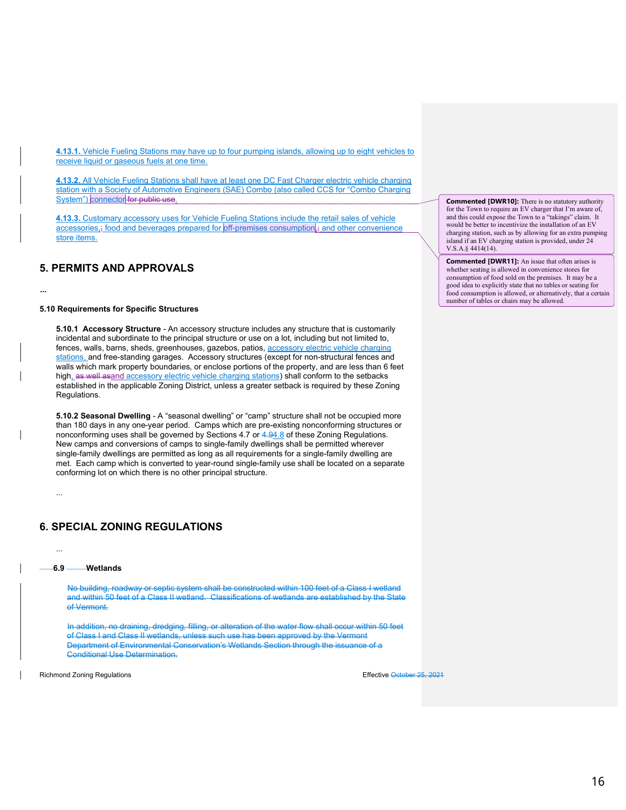4.13.1. Vehicle Fueling Stations may have up to four pumping islands, allowing up to eight vehicles to receive liquid or gaseous fuels at one time.

4.13.2. All Vehicle Fueling Stations shall have at least one DC Fast Charger electric vehicle charging station with a Society of Automotive Engineers (SAE) Combo (also called CCS for "Combo Charging System") connector for public use.

4.13.3. Customary accessory uses for Vehicle Fueling Stations include the retail sales of vehicle  $\frac{1}{2}$  accessories,; food and beverages prepared for off-premises consumption,; and other convenience store items.

#### 5. PERMITS AND APPROVALS

#### 5.10 Requirements for Specific Structures

...

5.10.1 Accessory Structure - An accessory structure includes any structure that is customarily incidental and subordinate to the principal structure or use on a lot, including but not limited to, fences, walls, barns, sheds, greenhouses, gazebos, patios, accessory electric vehicle charging stations, and free-standing garages. Accessory structures (except for non-structural fences and walls which mark property boundaries, or enclose portions of the property, and are less than 6 feet high, as well asand accessory electric vehicle charging stations) shall conform to the setbacks established in the applicable Zoning District, unless a greater setback is required by these Zoning Regulations.

5.10.2 Seasonal Dwelling - A "seasonal dwelling" or "camp" structure shall not be occupied more than 180 days in any one-year period. Camps which are pre-existing nonconforming structures or nonconforming uses shall be governed by Sections 4.7 or 4.94.8 of these Zoning Regulations. New camps and conversions of camps to single-family dwellings shall be permitted wherever single-family dwellings are permitted as long as all requirements for a single-family dwelling are met. Each camp which is converted to year-round single-family use shall be located on a separate conforming lot on which there is no other principal structure.

#### 6. SPECIAL ZONING REGULATIONS

6.9 Wetlands

...

...

No building, roadway or septic system shall be constructed within 100 feet of a Class I wetland and within 50 feet of a Class II wetland. Classifications of wetlands are established by the State of Vermont.

In addition, no draining, dredging, filling, or alteration of the water flow shall occur within 50 feet of Class I and Class II wetlands, unless such use has been approved by the Vermont Department of Environmental Conservation's Wetlands Section through the issuance of a Conditional Use Determination.

Richmond Zoning Regulations **Effective October 25, 2021** 

Commented [DWR10]: There is no statutory authority for the Town to require an EV charger that I'm aware of, and this could expose the Town to a "takings" claim. It would be better to incentivize the installation of an EV charging station, such as by allowing for an extra pumping island if an EV charging station is provided, under 24 V.S.A.§ 4414(14).

Commented [DWR11]: An issue that often arises is whether seating is allowed in convenience stores for consumption of food sold on the premises. It may be a good idea to explicitly state that no tables or seating for food consumption is allowed, or alternatively, that a certain number of tables or chairs may be allowed.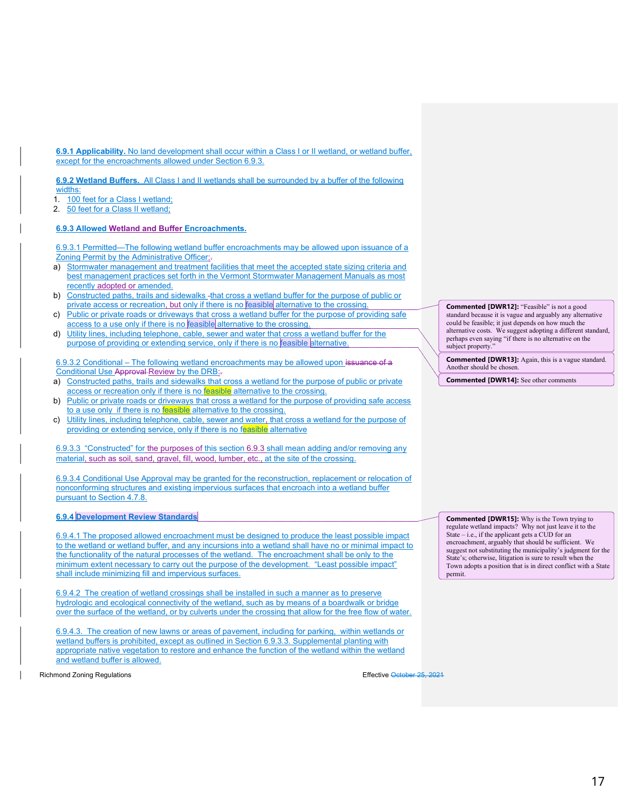6.9.1 Applicability. No land development shall occur within a Class I or II wetland, or wetland buffer, except for the encroachments allowed under Section 6.9.3.

6.9.2 Wetland Buffers. All Class I and II wetlands shall be surrounded by a buffer of the following widths:

1. 100 feet for a Class I wetland;

2. 50 feet for a Class II wetland;

#### 6.9.3 Allowed Wetland and Buffer Encroachments.

6.9.3.1 Permitted—The following wetland buffer encroachments may be allowed upon issuance of a Zoning Permit by the Administrative Officer:.

- a) Stormwater management and treatment facilities that meet the accepted state sizing criteria and best management practices set forth in the Vermont Stormwater Management Manuals as most recently adopted or amended.
- b) Constructed paths, trails and sidewalks -that cross a wetland buffer for the purpose of public or private access or recreation, but only if there is no feasible alternative to the crossing.
- c) Public or private roads or driveways that cross a wetland buffer for the purpose of providing safe access to a use only if there is no feasible alternative to the crossing
- d) Utility lines, including telephone, cable, sewer and water that cross a wetland buffer for the purpose of providing or extending service, only if there is no feasible alternative

6.9.3.2 Conditional – The following wetland encroachments may be allowed upon issuance of a Conditional Use Approval Review by the DRB:-

- a) Constructed paths, trails and sidewalks that cross a wetland for the purpose of public or private access or recreation only if there is no feasible alternative to the crossing.
- b) Public or private roads or driveways that cross a wetland for the purpose of providing safe access to a use only if there is no feasible alternative to the crossing.
- c) Utility lines, including telephone, cable, sewer and water, that cross a wetland for the purpose of providing or extending service, only if there is no feasible alternative

6.9.3.3 "Constructed" for the purposes of this section 6.9.3 shall mean adding and/or removing any material, such as soil, sand, gravel, fill, wood, lumber, etc., at the site of the crossing.

6.9.3.4 Conditional Use Approval may be granted for the reconstruction, replacement or relocation of nonconforming structures and existing impervious surfaces that encroach into a wetland buffer pursuant to Section 4.7.8.

#### 6.9.4 Development Review Standards

6.9.4.1 The proposed allowed encroachment must be designed to produce the least possible impact to the wetland or wetland buffer, and any incursions into a wetland shall have no or minimal impact to the functionality of the natural processes of the wetland. The encroachment shall be only to the minimum extent necessary to carry out the purpose of the development. "Least possible impact" shall include minimizing fill and impervious surfaces.

6.9.4.2 The creation of wetland crossings shall be installed in such a manner as to preserve hydrologic and ecological connectivity of the wetland, such as by means of a boardwalk or bridge over the surface of the wetland, or by culverts under the crossing that allow for the free flow of water.

6.9.4.3. The creation of new lawns or areas of pavement, including for parking, within wetlands or wetland buffers is prohibited, except as outlined in Section 6.9.3.3. Supplemental planting with appropriate native vegetation to restore and enhance the function of the wetland within the wetland and wetland buffer is allowed.

Richmond Zoning Regulations **Effective October 25, 2021** 

Commented [DWR12]: "Feasible" is not a good standard because it is vague and arguably any alternative could be feasible; it just depends on how much the alternative costs. We suggest adopting a different standard, perhaps even saying "if there is no alternative on the subject property.'

Commented [DWR13]: Again, this is a vague standard. Another should be chosen.

Commented [DWR14]: See other comments

Commented [DWR15]: Why is the Town trying to regulate wetland impacts? Why not just leave it to the State – i.e., if the applicant gets a CUD for an encroachment, arguably that should be sufficient. We suggest not substituting the municipality's judgment for the State's; otherwise, litigation is sure to result when the Town adopts a position that is in direct conflict with a State permit.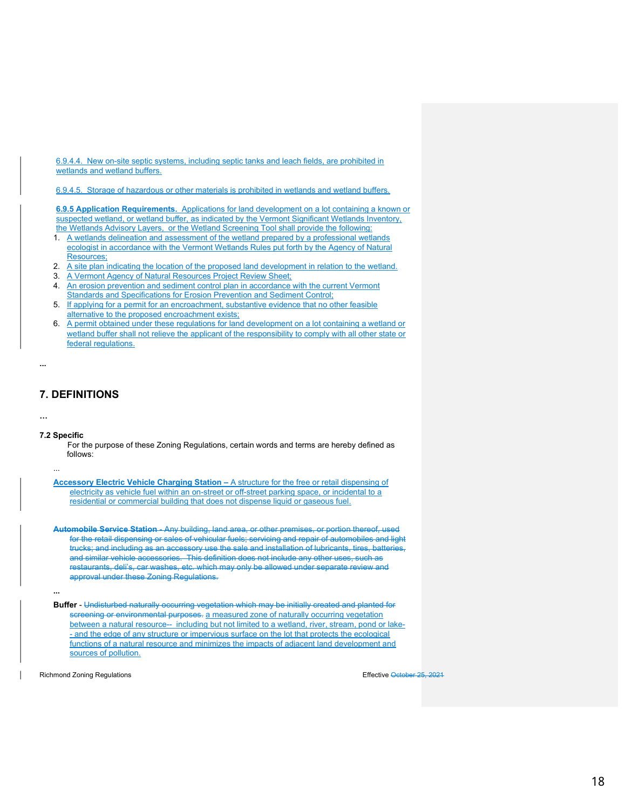6.9.4.4. New on-site septic systems, including septic tanks and leach fields, are prohibited in wetlands and wetland buffers.

6.9.4.5. Storage of hazardous or other materials is prohibited in wetlands and wetland buffers.

6.9.5 Application Requirements. Applications for land development on a lot containing a known or suspected wetland, or wetland buffer, as indicated by the Vermont Significant Wetlands Inventory, the Wetlands Advisory Layers, or the Wetland Screening Tool shall provide the following:

- 1. A wetlands delineation and assessment of the wetland prepared by a professional wetlands ecologist in accordance with the Vermont Wetlands Rules put forth by the Agency of Natural Resources;
- 2. A site plan indicating the location of the proposed land development in relation to the wetland.
- 3. A Vermont Agency of Natural Resources Project Review Sheet;
- 4. An erosion prevention and sediment control plan in accordance with the current Vermont Standards and Specifications for Erosion Prevention and Sediment Control;
- 5. If applying for a permit for an encroachment, substantive evidence that no other feasible alternative to the proposed encroachment exists;
- 6. A permit obtained under these regulations for land development on a lot containing a wetland or wetland buffer shall not relieve the applicant of the responsibility to comply with all other state or federal regulations.

```
...
```
### 7. DEFINITIONS

…

#### 7.2 Specific

...

For the purpose of these Zoning Regulations, certain words and terms are hereby defined as follows:

Accessory Electric Vehicle Charging Station – A structure for the free or retail dispensing of electricity as vehicle fuel within an on-street or off-street parking space, or incidental to a residential or commercial building that does not dispense liquid or gaseous fuel.

Automobile Service Station - Any building, land area, or other premises, or portion thereof, used for the retail dispensing or sales of vehicular fuels; servicing and repair of automobiles and light trucks; and including as an accessory use the sale and installation of lubricants, tires, batteries, and similar vehicle accessories. This definition does not include any other uses, such as restaurants, deli's, car washes, etc. which may only be allowed under separate review and approval under these Zoning Regulations.

...

Buffer - Undisturbed naturally occurring vegetation which may be initially created and planted for screening or environmental purposes. a measured zone of naturally occurring vegetation between a natural resource-- including but not limited to a wetland, river, stream, pond or lake- - and the edge of any structure or impervious surface on the lot that protects the ecological functions of a natural resource and minimizes the impacts of adjacent land development and sources of pollution.

Richmond Zoning Regulations **Effective October 25, 2021**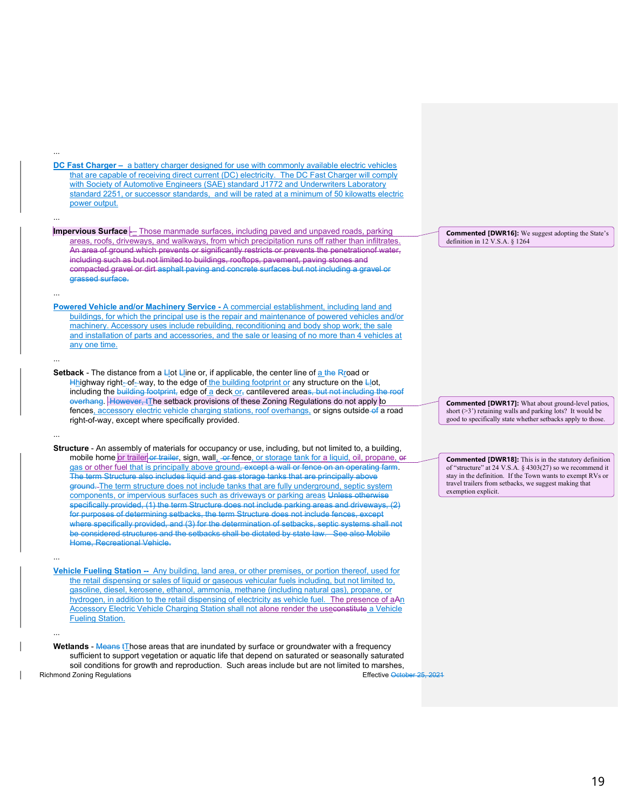DC Fast Charger – a battery charger designed for use with commonly available electric vehicles that are capable of receiving direct current (DC) electricity. The DC Fast Charger will comply with Society of Automotive Engineers (SAE) standard J1772 and Underwriters Laboratory standard 2251, or successor standards, and will be rated at a minimum of 50 kilowatts electric power output.

...

...

...

...

...

...

...

- Impervious Surface -- Those manmade surfaces, including paved and unpaved roads, parking areas, roofs, driveways, and walkways, from which precipitation runs off rather than infiltrates. An area of ground which prevents or significantly restricts or prevents the penetrationof water, including such as but not limited to buildings, rooftops, pavement, paving stones and compacted gravel or dirt asphalt paving and concrete surfaces but not including a gravel or grassed surface.
- Powered Vehicle and/or Machinery Service A commercial establishment, including land and buildings, for which the principal use is the repair and maintenance of powered vehicles and/or machinery. Accessory uses include rebuilding, reconditioning and body shop work; the sale and installation of parts and accessories, and the sale or leasing of no more than 4 vehicles at any one time.
- Setback The distance from a  $L$ <sub>l</sub>ot  $L$  ine or, if applicable, the center line of  $\underline{a}$  the R<sub>I</sub> oad or Hhighway right-of-way, to the edge of the building footprint or any structure on the Llot, including the building footprint, edge of a deck or, cantilevered areas, but not including the roof overhang. However, tThe setback provisions of these Zoning Regulations do not apply to fences, accessory electric vehicle charging stations, roof overhangs, or signs outside of a road right-of-way, except where specifically provided.
- Structure An assembly of materials for occupancy or use, including, but not limited to, a building, mobile home or trailer or trailer, sign, wall, or fence, or storage tank for a liquid, oil, propane, or gas or other fuel that is principally above ground, except a wall or fence on an operating farm. The term Structure also includes liquid and gas storage tanks that are principally above ground. The term structure does not include tanks that are fully underground, septic system components, or impervious surfaces such as driveways or parking areas Unless otherwise specifically provided, (1) the term Structure does not include parking areas and driveways, (2) for purposes of determining setbacks, the term Structure does not include fences, except where specifically provided, and (3) for the determination of setbacks, septic systems shall not be considered structures and the setbacks shall be dictated by state law. See also Mobile Home, Recreational Vehicle.
- Vehicle Fueling Station -- Any building, land area, or other premises, or portion thereof, used for the retail dispensing or sales of liquid or gaseous vehicular fuels including, but not limited to, gasoline, diesel, kerosene, ethanol, ammonia, methane (including natural gas), propane, or hydrogen, in addition to the retail dispensing of electricity as vehicle fuel. The presence of aAn Accessory Electric Vehicle Charging Station shall not alone render the useconstitute a Vehicle Fueling Station.

Richmond Zoning Regulations Effective October 25, 2021 Wetlands - Means tThose areas that are inundated by surface or groundwater with a frequency sufficient to support vegetation or aquatic life that depend on saturated or seasonally saturated soil conditions for growth and reproduction. Such areas include but are not limited to marshes,

Commented [DWR16]: We suggest adopting the State's definition in 12 V.S.A. § 1264

Commented [DWR17]: What about ground-level patios, short (>3') retaining walls and parking lots? It would be good to specifically state whether setbacks apply to those.

Commented [DWR18]: This is in the statutory definition of "structure" at 24 V.S.A. § 4303(27) so we recommend it stay in the definition. If the Town wants to exempt RVs or travel trailers from setbacks, we suggest making that exemption explicit.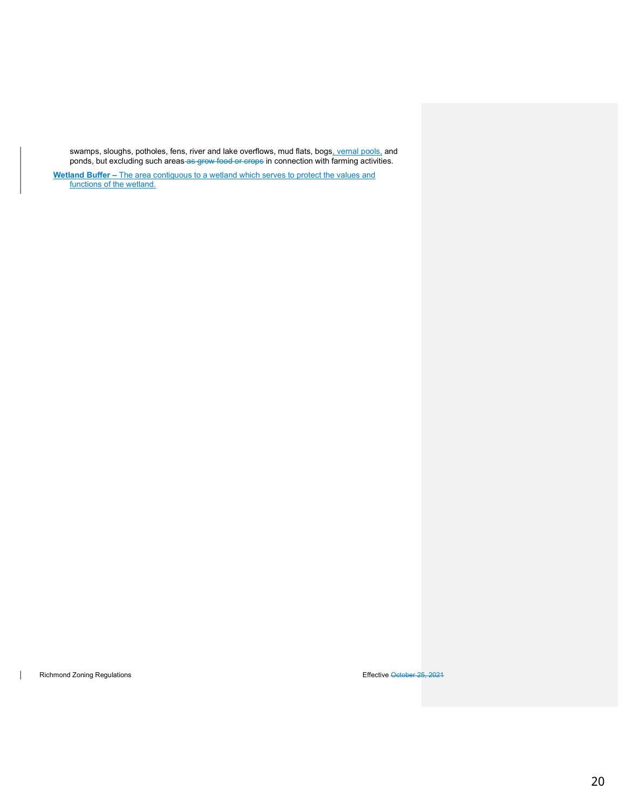swamps, sloughs, potholes, fens, river and lake overflows, mud flats, bogs<u>, vernal pools,</u> and ponds, but excluding such areas-as-grow food or crops in connection with farming activities.

Wetland Buffer – The area contiguous to a wetland which serves to protect the values and functions of the wetland.

Richmond Zoning Regulations Effective October 25, 2021

 $\overline{\phantom{a}}$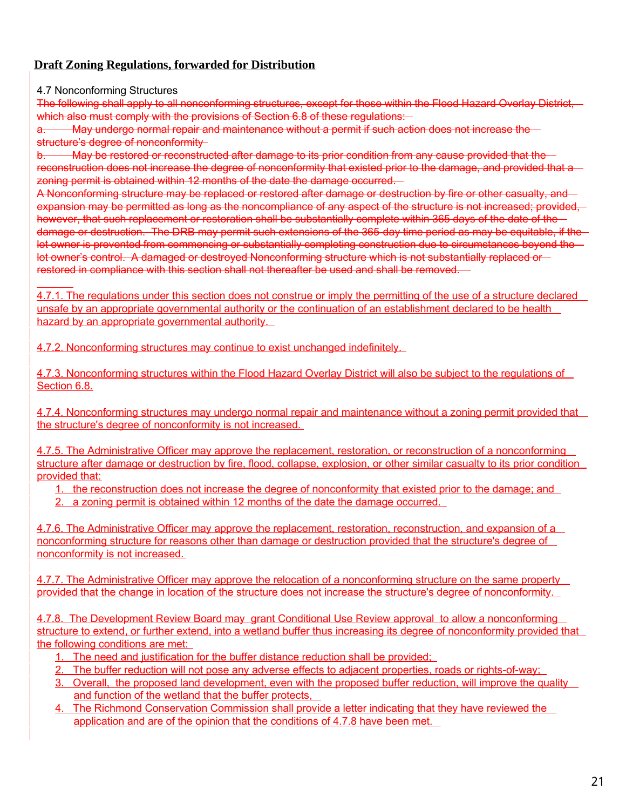# **Draft Zoning Regulations, forwarded for Distribution**

4.7 Nonconforming Structures

 $\overline{a}$ 

The following shall apply to all nonconforming structures, except for those within the Flood Hazard Overlay District, which also must comply with the provisions of Section 6.8 of these regulations:

a. May undergo normal repair and maintenance without a permit if such action does not increase the structure's degree of nonconformity

b. May be restored or reconstructed after damage to its prior condition from any cause provided that the reconstruction does not increase the degree of nonconformity that existed prior to the damage, and provided that a zoning permit is obtained within 12 months of the date the damage occurred.

A Nonconforming structure may be replaced or restored after damage or destruction by fire or other casualty, and expansion may be permitted as long as the noncompliance of any aspect of the structure is not increased; provided, however, that such replacement or restoration shall be substantially complete within 365 days of the date of the damage or destruction. The DRB may permit such extensions of the 365-day time period as may be equitable, if the lot owner is prevented from commencing or substantially completing construction due to circumstances beyond the lot owner's control. A damaged or destroyed Nonconforming structure which is not substantially replaced or restored in compliance with this section shall not thereafter be used and shall be removed.

4.7.1. The regulations under this section does not construe or imply the permitting of the use of a structure declared unsafe by an appropriate governmental authority or the continuation of an establishment declared to be health hazard by an appropriate governmental authority.

4.7.2. Nonconforming structures may continue to exist unchanged indefinitely.

4.7.3. Nonconforming structures within the Flood Hazard Overlay District will also be subject to the regulations of Section 6.8.

4.7.4. Nonconforming structures may undergo normal repair and maintenance without a zoning permit provided that the structure's degree of nonconformity is not increased.

4.7.5. The Administrative Officer may approve the replacement, restoration, or reconstruction of a nonconforming structure after damage or destruction by fire, flood, collapse, explosion, or other similar casualty to its prior condition provided that:

1. the reconstruction does not increase the degree of nonconformity that existed prior to the damage; and

2. a zoning permit is obtained within 12 months of the date the damage occurred.

4.7.6. The Administrative Officer may approve the replacement, restoration, reconstruction, and expansion of a nonconforming structure for reasons other than damage or destruction provided that the structure's degree of nonconformity is not increased.

4.7.7. The Administrative Officer may approve the relocation of a nonconforming structure on the same property provided that the change in location of the structure does not increase the structure's degree of nonconformity.

4.7.8. The Development Review Board may grant Conditional Use Review approval to allow a nonconforming structure to extend, or further extend, into a wetland buffer thus increasing its degree of nonconformity provided that the following conditions are met:

- 1. The need and justification for the buffer distance reduction shall be provided;
- 2. The buffer reduction will not pose any adverse effects to adjacent properties, roads or rights-of-way;
- 3. Overall, the proposed land development, even with the proposed buffer reduction, will improve the quality and function of the wetland that the buffer protects,
- 4. The Richmond Conservation Commission shall provide a letter indicating that they have reviewed the application and are of the opinion that the conditions of 4.7.8 have been met.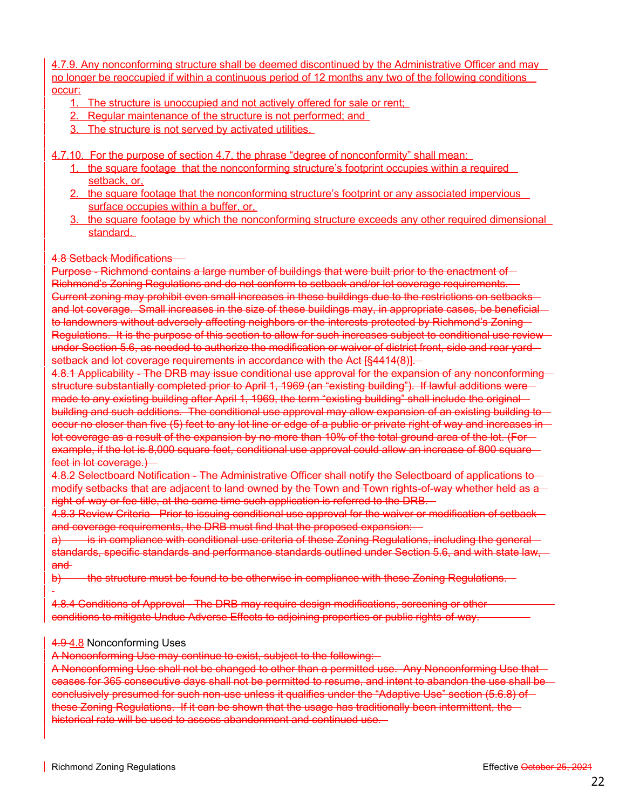4.7.9. Any nonconforming structure shall be deemed discontinued by the Administrative Officer and may no longer be reoccupied if within a continuous period of 12 months any two of the following conditions occur:

- 1. The structure is unoccupied and not actively offered for sale or rent;
- 2. Regular maintenance of the structure is not performed; and
- 3. The structure is not served by activated utilities.

4.7.10. For the purpose of section 4.7, the phrase "degree of nonconformity" shall mean:

- 1. the square footage that the nonconforming structure's footprint occupies within a required setback, or,
- 2. the square footage that the nonconforming structure's footprint or any associated impervious surface occupies within a buffer, or,
- 3. the square footage by which the nonconforming structure exceeds any other required dimensional standard.

### 4.8 Setback Modifications

Purpose - Richmond contains a large number of buildings that were built prior to the enactment of -Richmond's Zoning Regulations and do not conform to setback and/or lot coverage requirements. Current zoning may prohibit even small increases in these buildings due to the restrictions on setbacks and lot coverage. Small increases in the size of these buildings may, in appropriate cases, be beneficial to landowners without adversely affecting neighbors or the interests protected by Richmond's Zoning-Regulations. It is the purpose of this section to allow for such increases subject to conditional use review under Section 5.6, as needed to authorize the modification or waiver of district front, side and rear yard setback and lot coverage requirements in accordance with the Act [§4414(8)].

4.8.1 Applicability - The DRB may issue conditional use approval for the expansion of any nonconforming structure substantially completed prior to April 1, 1969 (an "existing building"). If lawful additions were made to any existing building after April 1, 1969, the term "existing building" shall include the original building and such additions. The conditional use approval may allow expansion of an existing building to occur no closer than five (5) feet to any lot line or edge of a public or private right of way and increases in lot coverage as a result of the expansion by no more than 10% of the total ground area of the lot. (For example, if the lot is 8,000 square feet, conditional use approval could allow an increase of 800 square feet in lot coverage.) -

4.8.2 Selectboard Notification - The Administrative Officer shall notify the Selectboard of applications to modify setbacks that are adjacent to land owned by the Town and Town rights-of-way whether held as a right-of-way or fee title, at the same time such application is referred to the DRB.

4.8.3 Review Criteria - Prior to issuing conditional use approval for the waiver or modification of setback and coverage requirements, the DRB must find that the proposed expansion: -

a) is in compliance with conditional use criteria of these Zoning Regulations, including the general standards, specific standards and performance standards outlined under Section 5.6, and with state law, and

b) the structure must be found to be otherwise in compliance with these Zoning Regulations.

4.8.4 Conditions of Approval - The DRB may require design modifications, screening or other conditions to mitigate Undue Adverse Effects to adjoining properties or public rights-of-way.

### 4.9 4.8 Nonconforming Uses

A Nonconforming Use may continue to exist, subject to the following:

A Nonconforming Use shall not be changed to other than a permitted use. Any Nonconforming Use that ceases for 365 consecutive days shall not be permitted to resume, and intent to abandon the use shall be conclusively presumed for such non-use unless it qualifies under the "Adaptive Use" section (5.6.8) of these Zoning Regulations. If it can be shown that the usage has traditionally been intermittent, the historical rate will be used to assess abandonment and continued use.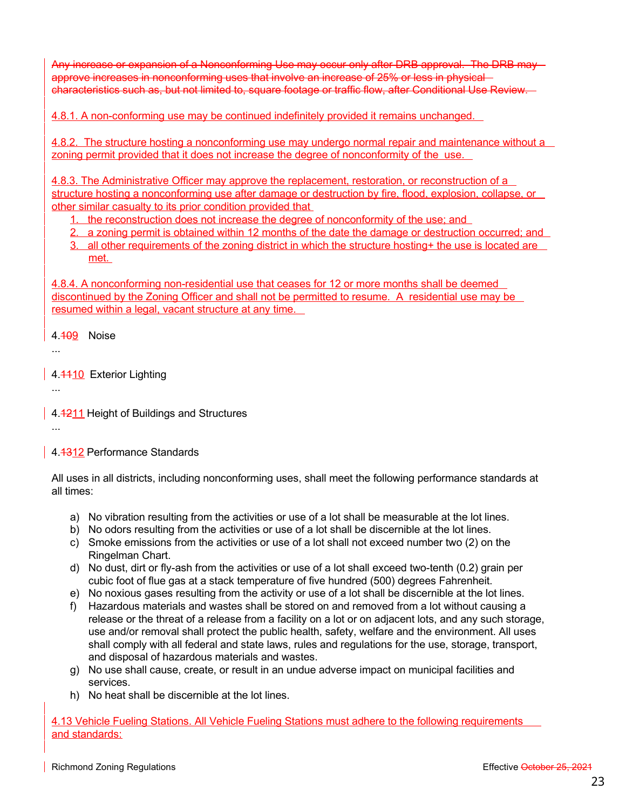Any increase or expansion of a Nonconforming Use may occur only after DRB approval. The DRB may approve increases in nonconforming uses that involve an increase of 25% or less in physical characteristics such as, but not limited to, square footage or traffic flow, after Conditional Use Review.

4.8.1. A non-conforming use may be continued indefinitely provided it remains unchanged.

4.8.2. The structure hosting a nonconforming use may undergo normal repair and maintenance without a zoning permit provided that it does not increase the degree of nonconformity of the use.

4.8.3. The Administrative Officer may approve the replacement, restoration, or reconstruction of a structure hosting a nonconforming use after damage or destruction by fire, flood, explosion, collapse, or other similar casualty to its prior condition provided that

1. the reconstruction does not increase the degree of nonconformity of the use; and

- 2. a zoning permit is obtained within 12 months of the date the damage or destruction occurred; and
- 3. all other requirements of the zoning district in which the structure hosting+ the use is located are met.

4.8.4. A nonconforming non-residential use that ceases for 12 or more months shall be deemed discontinued by the Zoning Officer and shall not be permitted to resume. A residential use may be resumed within a legal, vacant structure at any time.

4.109 Noise

...

...

...

4.4410 Exterior Lighting

4.4211 Height of Buildings and Structures

4.4312 Performance Standards

All uses in all districts, including nonconforming uses, shall meet the following performance standards at all times:

- a) No vibration resulting from the activities or use of a lot shall be measurable at the lot lines.
- b) No odors resulting from the activities or use of a lot shall be discernible at the lot lines.
- c) Smoke emissions from the activities or use of a lot shall not exceed number two (2) on the Ringelman Chart.
- d) No dust, dirt or fly-ash from the activities or use of a lot shall exceed two-tenth (0.2) grain per cubic foot of flue gas at a stack temperature of five hundred (500) degrees Fahrenheit.
- e) No noxious gases resulting from the activity or use of a lot shall be discernible at the lot lines.
- f) Hazardous materials and wastes shall be stored on and removed from a lot without causing a release or the threat of a release from a facility on a lot or on adjacent lots, and any such storage, use and/or removal shall protect the public health, safety, welfare and the environment. All uses shall comply with all federal and state laws, rules and regulations for the use, storage, transport, and disposal of hazardous materials and wastes.
- g) No use shall cause, create, or result in an undue adverse impact on municipal facilities and services.
- h) No heat shall be discernible at the lot lines.

4.13 Vehicle Fueling Stations. All Vehicle Fueling Stations must adhere to the following requirements and standards: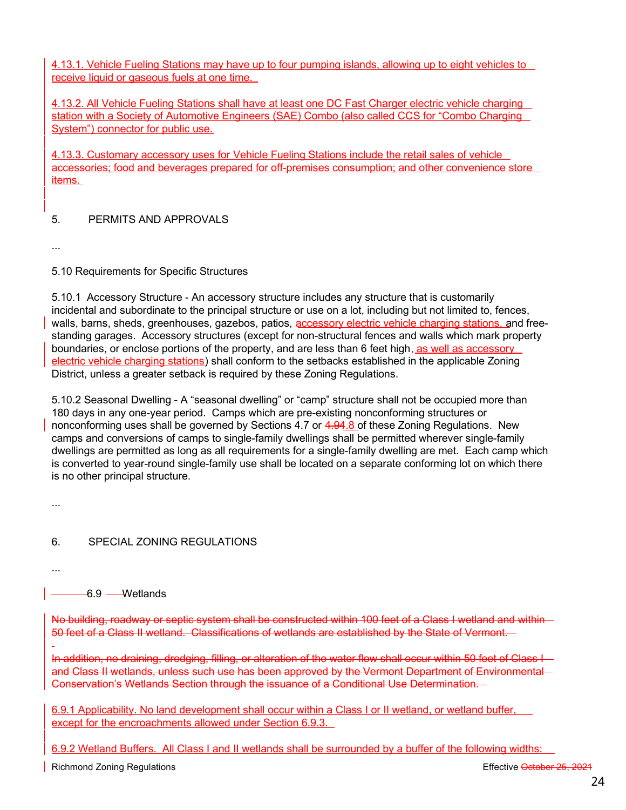4.13.1. Vehicle Fueling Stations may have up to four pumping islands, allowing up to eight vehicles to receive liquid or gaseous fuels at one time.

4.13.2. All Vehicle Fueling Stations shall have at least one DC Fast Charger electric vehicle charging station with a Society of Automotive Engineers (SAE) Combo (also called CCS for "Combo Charging System") connector for public use.

4.13.3. Customary accessory uses for Vehicle Fueling Stations include the retail sales of vehicle accessories; food and beverages prepared for off-premises consumption; and other convenience store items.

### 5. PERMITS AND APPROVALS

...

5.10 Requirements for Specific Structures

5.10.1 Accessory Structure - An accessory structure includes any structure that is customarily incidental and subordinate to the principal structure or use on a lot, including but not limited to, fences, walls, barns, sheds, greenhouses, gazebos, patios, accessory electric vehicle charging stations, and freestanding garages. Accessory structures (except for non-structural fences and walls which mark property boundaries, or enclose portions of the property, and are less than 6 feet high, as well as accessory electric vehicle charging stations) shall conform to the setbacks established in the applicable Zoning District, unless a greater setback is required by these Zoning Regulations.

5.10.2 Seasonal Dwelling - A "seasonal dwelling" or "camp" structure shall not be occupied more than 180 days in any one-year period. Camps which are pre-existing nonconforming structures or nonconforming uses shall be governed by Sections 4.7 or 4.94.8 of these Zoning Regulations. New camps and conversions of camps to single-family dwellings shall be permitted wherever single-family dwellings are permitted as long as all requirements for a single-family dwelling are met. Each camp which is converted to year-round single-family use shall be located on a separate conforming lot on which there is no other principal structure.

...

6. SPECIAL ZONING REGULATIONS

...

6.9 Wetlands

No building, roadway or septic system shall be constructed within 100 feet of a Class I wetland and within -50 feet of a Class II wetland. Classifications of wetlands are established by the State of Vermont.

In addition, no draining, dredging, filling, or alteration of the water flow shall occur within 50 feet of Class I and Class II wetlands, unless such use has been approved by the Vermont Department of Environmental Conservation's Wetlands Section through the issuance of a Conditional Use Determination.

6.9.1 Applicability. No land development shall occur within a Class I or II wetland, or wetland buffer, except for the encroachments allowed under Section 6.9.3.

6.9.2 Wetland Buffers. All Class I and II wetlands shall be surrounded by a buffer of the following widths: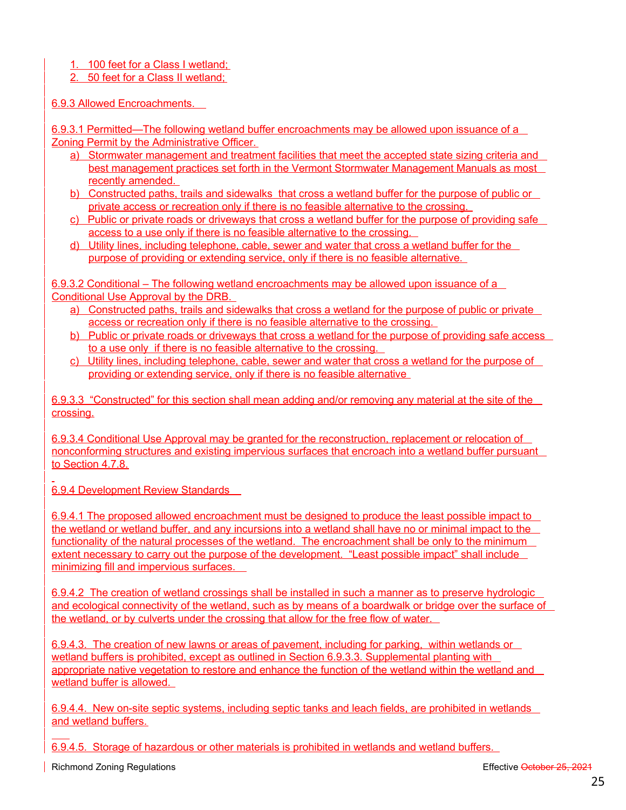1. 100 feet for a Class I wetland;

2. 50 feet for a Class II wetland;

6.9.3 Allowed Encroachments.

6.9.3.1 Permitted—The following wetland buffer encroachments may be allowed upon issuance of a Zoning Permit by the Administrative Officer.

- a) Stormwater management and treatment facilities that meet the accepted state sizing criteria and best management practices set forth in the Vermont Stormwater Management Manuals as most recently amended.
- b) Constructed paths, trails and sidewalks that cross a wetland buffer for the purpose of public or private access or recreation only if there is no feasible alternative to the crossing.
- c) Public or private roads or driveways that cross a wetland buffer for the purpose of providing safe access to a use only if there is no feasible alternative to the crossing.
- d) Utility lines, including telephone, cable, sewer and water that cross a wetland buffer for the purpose of providing or extending service, only if there is no feasible alternative.

6.9.3.2 Conditional – The following wetland encroachments may be allowed upon issuance of a Conditional Use Approval by the DRB.

- a) Constructed paths, trails and sidewalks that cross a wetland for the purpose of public or private access or recreation only if there is no feasible alternative to the crossing.
- b) Public or private roads or driveways that cross a wetland for the purpose of providing safe access to a use only if there is no feasible alternative to the crossing.
- c) Utility lines, including telephone, cable, sewer and water that cross a wetland for the purpose of providing or extending service, only if there is no feasible alternative

6.9.3.3 "Constructed" for this section shall mean adding and/or removing any material at the site of the crossing.

6.9.3.4 Conditional Use Approval may be granted for the reconstruction, replacement or relocation of nonconforming structures and existing impervious surfaces that encroach into a wetland buffer pursuant to Section 4.7.8.

6.9.4 Development Review Standards

6.9.4.1 The proposed allowed encroachment must be designed to produce the least possible impact to the wetland or wetland buffer, and any incursions into a wetland shall have no or minimal impact to the functionality of the natural processes of the wetland. The encroachment shall be only to the minimum extent necessary to carry out the purpose of the development. "Least possible impact" shall include minimizing fill and impervious surfaces.

6.9.4.2 The creation of wetland crossings shall be installed in such a manner as to preserve hydrologic and ecological connectivity of the wetland, such as by means of a boardwalk or bridge over the surface of the wetland, or by culverts under the crossing that allow for the free flow of water.

6.9.4.3. The creation of new lawns or areas of pavement, including for parking, within wetlands or wetland buffers is prohibited, except as outlined in Section 6.9.3.3. Supplemental planting with appropriate native vegetation to restore and enhance the function of the wetland within the wetland and wetland buffer is allowed.

6.9.4.4. New on-site septic systems, including septic tanks and leach fields, are prohibited in wetlands and wetland buffers.

6.9.4.5. Storage of hazardous or other materials is prohibited in wetlands and wetland buffers.

 $\overline{a}$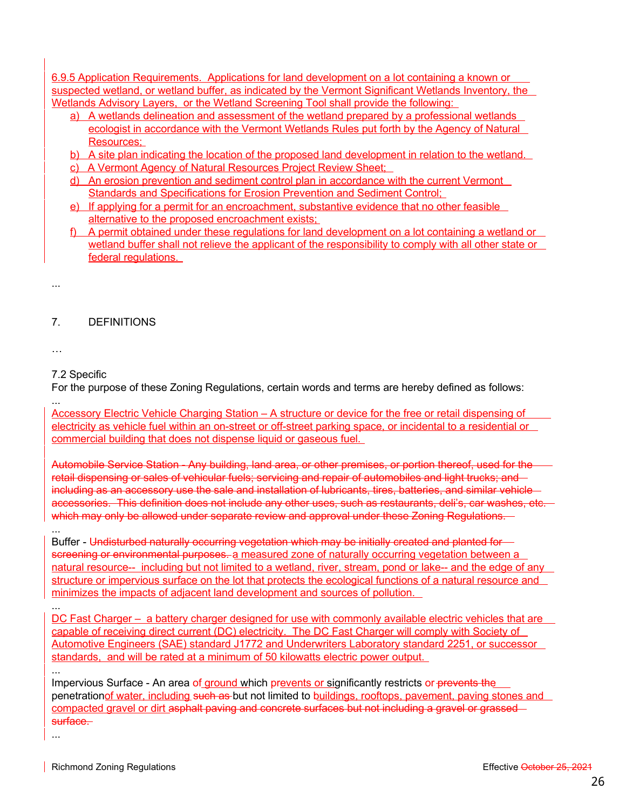6.9.5 Application Requirements. Applications for land development on a lot containing a known or suspected wetland, or wetland buffer, as indicated by the Vermont Significant Wetlands Inventory, the Wetlands Advisory Layers, or the Wetland Screening Tool shall provide the following:

- a) A wetlands delineation and assessment of the wetland prepared by a professional wetlands ecologist in accordance with the Vermont Wetlands Rules put forth by the Agency of Natural Resources;
- b) A site plan indicating the location of the proposed land development in relation to the wetland.
- c) A Vermont Agency of Natural Resources Project Review Sheet;
- d) An erosion prevention and sediment control plan in accordance with the current Vermont Standards and Specifications for Erosion Prevention and Sediment Control;
- e) If applying for a permit for an encroachment, substantive evidence that no other feasible alternative to the proposed encroachment exists;
- f) A permit obtained under these regulations for land development on a lot containing a wetland or wetland buffer shall not relieve the applicant of the responsibility to comply with all other state or federal regulations.

7. DEFINITIONS

…

...

7.2 Specific

For the purpose of these Zoning Regulations, certain words and terms are hereby defined as follows:

... Accessory Electric Vehicle Charging Station – A structure or device for the free or retail dispensing of electricity as vehicle fuel within an on-street or off-street parking space, or incidental to a residential or commercial building that does not dispense liquid or gaseous fuel.

Automobile Service Station - Any building, land area, or other premises, or portion thereof, used for the retail dispensing or sales of vehicular fuels; servicing and repair of automobiles and light trucks; and including as an accessory use the sale and installation of lubricants, tires, batteries, and similar vehicleaccessories. This definition does not include any other uses, such as restaurants, deli's, car washes, etc. which may only be allowed under separate review and approval under these Zoning Regulations.

... Buffer - Undisturbed naturally occurring vegetation which may be initially created and planted for screening or environmental purposes. a measured zone of naturally occurring vegetation between a natural resource-- including but not limited to a wetland, river, stream, pond or lake-- and the edge of any structure or impervious surface on the lot that protects the ecological functions of a natural resource and minimizes the impacts of adjacent land development and sources of pollution.

DC Fast Charger – a battery charger designed for use with commonly available electric vehicles that are capable of receiving direct current (DC) electricity. The DC Fast Charger will comply with Society of Automotive Engineers (SAE) standard J1772 and Underwriters Laboratory standard 2251, or successor standards, and will be rated at a minimum of 50 kilowatts electric power output.

Impervious Surface - An area of ground which prevents or significantly restricts or prevents the penetrationof water, including such as but not limited to buildings, rooftops, pavement, paving stones and compacted gravel or dirt asphalt paving and concrete surfaces but not including a gravel or grassedsurface.

...

...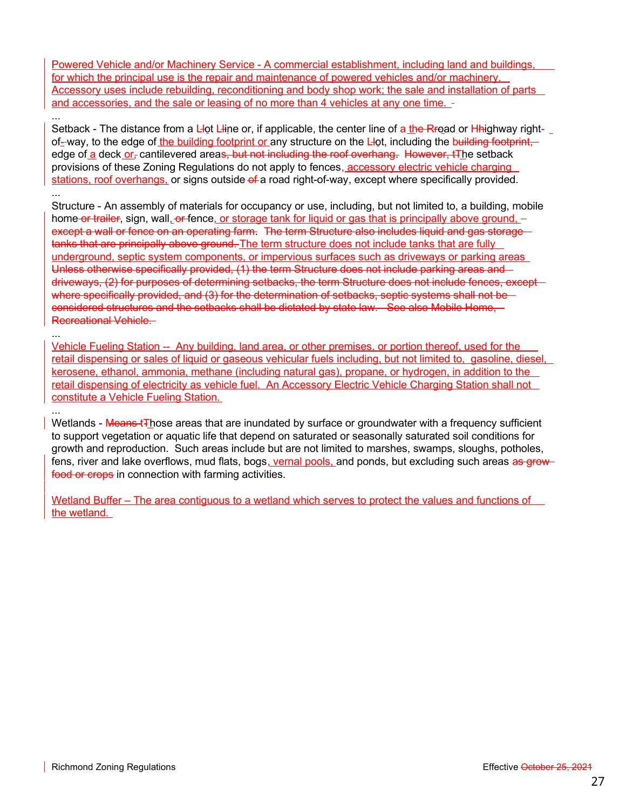Powered Vehicle and/or Machinery Service - A commercial establishment, including land and buildings, for which the principal use is the repair and maintenance of powered vehicles and/or machinery. Accessory uses include rebuilding, reconditioning and body shop work; the sale and installation of parts and accessories, and the sale or leasing of no more than 4 vehicles at any one time.

Setback - The distance from a L-ot L-line or, if applicable, the center line of a the Rroad or H-highway rightof--way, to the edge of the building footprint or any structure on the L-lot, including the building footprint, edge of a deck or-cantilevered areas, but not including the roof overhang. However, tThe setback provisions of these Zoning Regulations do not apply to fences, accessory electric vehicle charging stations, roof overhangs, or signs outside of a road right-of-way, except where specifically provided.

Structure - An assembly of materials for occupancy or use, including, but not limited to, a building, mobile home or trailer, sign, wall, or fence, or storage tank for liquid or gas that is principally above ground, except a wall or fence on an operating farm. The term Structure also includes liquid and gas storage tanks that are principally above ground. The term structure does not include tanks that are fully underground, septic system components, or impervious surfaces such as driveways or parking areas Unless otherwise specifically provided, (1) the term Structure does not include parking areas and driveways, (2) for purposes of determining setbacks, the term Structure does not include fences, except where specifically provided, and (3) for the determination of setbacks, septic systems shall not be considered structures and the setbacks shall be dictated by state law. See also Mobile Home, Recreational Vehicle.

Vehicle Fueling Station -- Any building, land area, or other premises, or portion thereof, used for the retail dispensing or sales of liquid or gaseous vehicular fuels including, but not limited to, gasoline, diesel, kerosene, ethanol, ammonia, methane (including natural gas), propane, or hydrogen, in addition to the retail dispensing of electricity as vehicle fuel. An Accessory Electric Vehicle Charging Station shall not constitute a Vehicle Fueling Station.

Wetlands - Means tThose areas that are inundated by surface or groundwater with a frequency sufficient to support vegetation or aquatic life that depend on saturated or seasonally saturated soil conditions for growth and reproduction. Such areas include but are not limited to marshes, swamps, sloughs, potholes, fens, river and lake overflows, mud flats, bogs, vernal pools, and ponds, but excluding such areas as growfood or crops in connection with farming activities.

Wetland Buffer – The area contiguous to a wetland which serves to protect the values and functions of the wetland.

...

...

...

...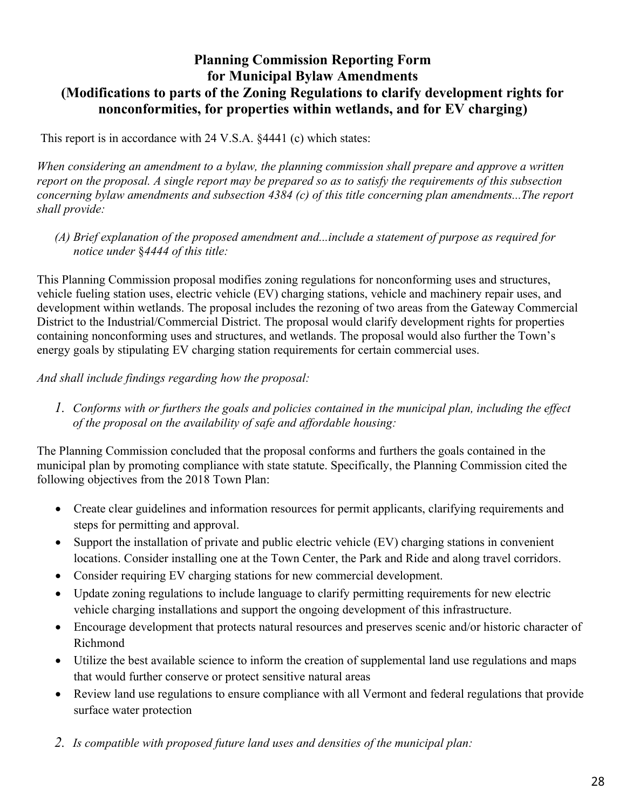# **Planning Commission Reporting Form for Municipal Bylaw Amendments (Modifications to parts of the Zoning Regulations to clarify development rights for nonconformities, for properties within wetlands, and for EV charging)**

This report is in accordance with 24 V.S.A. §4441 (c) which states:

*When considering an amendment to a bylaw, the planning commission shall prepare and approve a written report on the proposal. A single report may be prepared so as to satisfy the requirements of this subsection concerning bylaw amendments and subsection 4384 (c) of this title concerning plan amendments...The report shall provide:* 

*(A) Brief explanation of the proposed amendment and...include a statement of purpose as required for notice under* §*4444 of this title:* 

This Planning Commission proposal modifies zoning regulations for nonconforming uses and structures, vehicle fueling station uses, electric vehicle (EV) charging stations, vehicle and machinery repair uses, and development within wetlands. The proposal includes the rezoning of two areas from the Gateway Commercial District to the Industrial/Commercial District. The proposal would clarify development rights for properties containing nonconforming uses and structures, and wetlands. The proposal would also further the Town's energy goals by stipulating EV charging station requirements for certain commercial uses.

*And shall include findings regarding how the proposal:* 

*1. Conforms with or furthers the goals and policies contained in the municipal plan, including the effect of the proposal on the availability of safe and affordable housing:* 

The Planning Commission concluded that the proposal conforms and furthers the goals contained in the municipal plan by promoting compliance with state statute. Specifically, the Planning Commission cited the following objectives from the 2018 Town Plan:

- Create clear guidelines and information resources for permit applicants, clarifying requirements and steps for permitting and approval.
- Support the installation of private and public electric vehicle (EV) charging stations in convenient locations. Consider installing one at the Town Center, the Park and Ride and along travel corridors.
- Consider requiring EV charging stations for new commercial development.
- Update zoning regulations to include language to clarify permitting requirements for new electric vehicle charging installations and support the ongoing development of this infrastructure.
- Encourage development that protects natural resources and preserves scenic and/or historic character of Richmond
- Utilize the best available science to inform the creation of supplemental land use regulations and maps that would further conserve or protect sensitive natural areas
- Review land use regulations to ensure compliance with all Vermont and federal regulations that provide surface water protection
- *2. Is compatible with proposed future land uses and densities of the municipal plan:*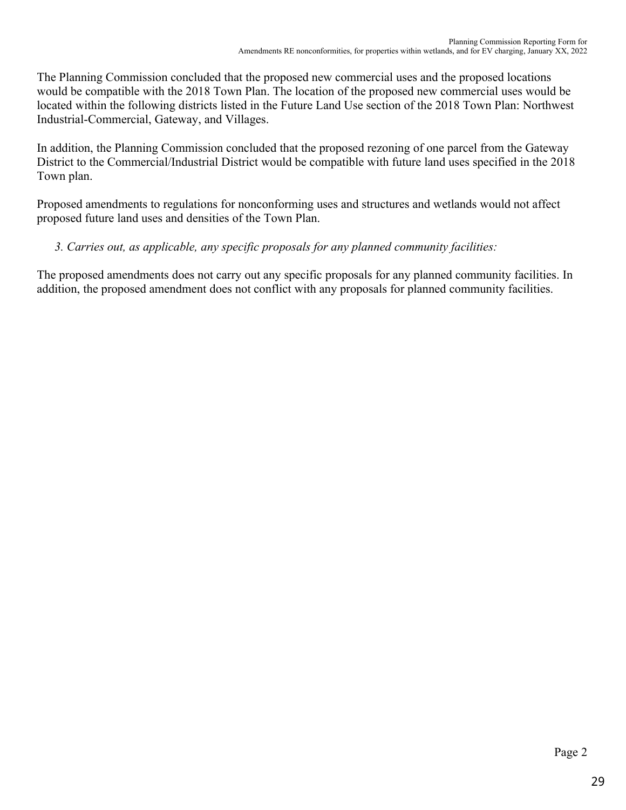The Planning Commission concluded that the proposed new commercial uses and the proposed locations would be compatible with the 2018 Town Plan. The location of the proposed new commercial uses would be located within the following districts listed in the Future Land Use section of the 2018 Town Plan: Northwest Industrial-Commercial, Gateway, and Villages.

In addition, the Planning Commission concluded that the proposed rezoning of one parcel from the Gateway District to the Commercial/Industrial District would be compatible with future land uses specified in the 2018 Town plan.

Proposed amendments to regulations for nonconforming uses and structures and wetlands would not affect proposed future land uses and densities of the Town Plan.

# *3. Carries out, as applicable, any specific proposals for any planned community facilities:*

The proposed amendments does not carry out any specific proposals for any planned community facilities. In addition, the proposed amendment does not conflict with any proposals for planned community facilities.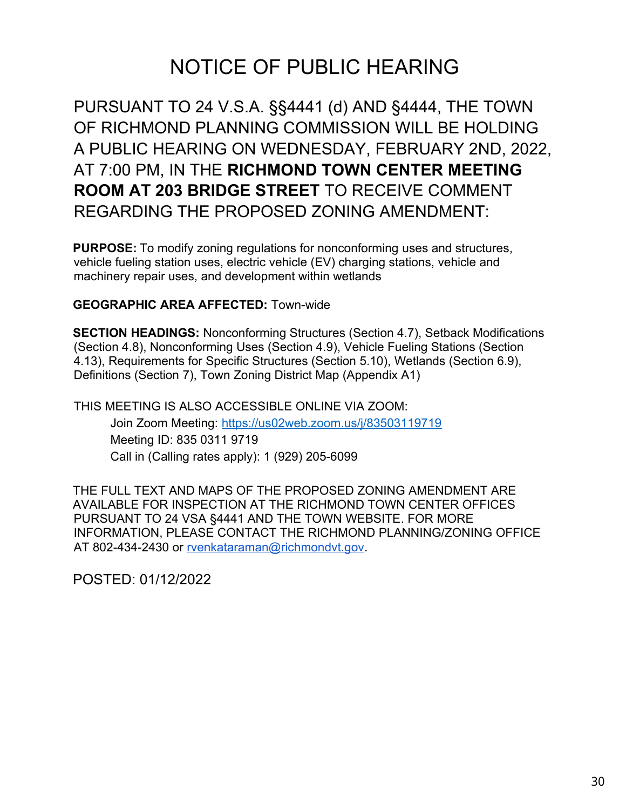# NOTICE OF PUBLIC HEARING

PURSUANT TO 24 V.S.A. §§4441 (d) AND §4444, THE TOWN OF RICHMOND PLANNING COMMISSION WILL BE HOLDING A PUBLIC HEARING ON WEDNESDAY, FEBRUARY 2ND, 2022, AT 7:00 PM, IN THE **RICHMOND TOWN CENTER MEETING ROOM AT 203 BRIDGE STREET** TO RECEIVE COMMENT REGARDING THE PROPOSED ZONING AMENDMENT:

**PURPOSE:** To modify zoning regulations for nonconforming uses and structures, vehicle fueling station uses, electric vehicle (EV) charging stations, vehicle and machinery repair uses, and development within wetlands

# **GEOGRAPHIC AREA AFFECTED:** Town-wide

**SECTION HEADINGS:** Nonconforming Structures (Section 4.7), Setback Modifications (Section 4.8), Nonconforming Uses (Section 4.9), Vehicle Fueling Stations (Section 4.13), Requirements for Specific Structures (Section 5.10), Wetlands (Section 6.9), Definitions (Section 7), Town Zoning District Map (Appendix A1)

THIS MEETING IS ALSO ACCESSIBLE ONLINE VIA ZOOM: Join Zoom Meeting: <https://us02web.zoom.us/j/83503119719> Meeting ID: 835 0311 9719 Call in (Calling rates apply): 1 (929) 205-6099

THE FULL TEXT AND MAPS OF THE PROPOSED ZONING AMENDMENT ARE AVAILABLE FOR INSPECTION AT THE RICHMOND TOWN CENTER OFFICES PURSUANT TO 24 VSA §4441 AND THE TOWN WEBSITE. FOR MORE INFORMATION, PLEASE CONTACT THE RICHMOND PLANNING/ZONING OFFICE AT 802-434-2430 or rvenkataraman@richmondvt.gov.

POSTED: 01/12/2022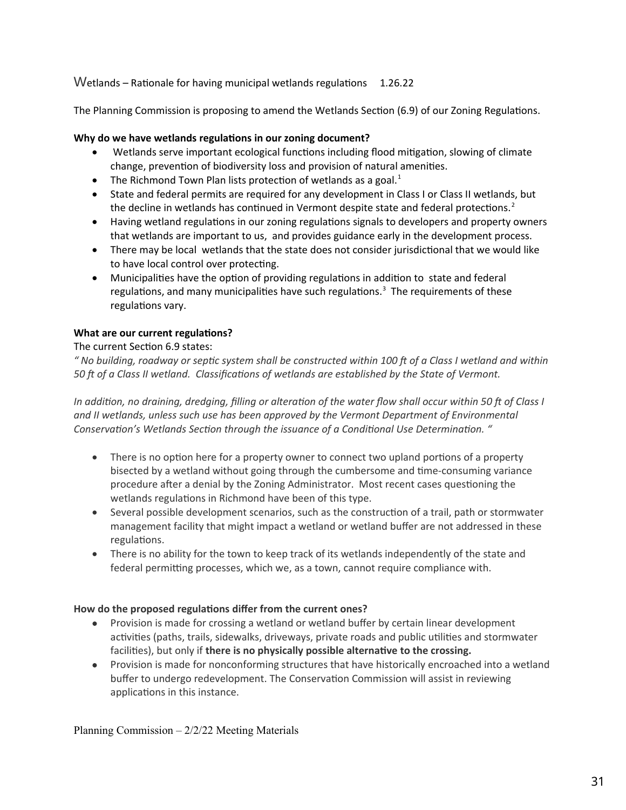### Wetlands – Rationale for having municipal wetlands regulations  $1.26.22$

The Planning Commission is proposing to amend the Wetlands Section (6.9) of our Zoning Regulations.

### **Why do we have wetlands regulations in our zoning document?**

- Wetlands serve important ecological functions including flood mitigation, slowing of climate change, prevention of biodiversity loss and provision of natural amenities.
- The Richmond Town Plan lists protection of wetlands as a goal. $1$
- State and federal permits are required for any development in Class I or Class II wetlands, but the decline in wetlands has continued in Vermont despite state and federal protections.<sup>2</sup>
- Having wetland regulations in our zoning regulations signals to developers and property owners that wetlands are important to us, and provides guidance early in the development process.
- There may be local wetlands that the state does not consider jurisdictional that we would like to have local control over protecting.
- Municipalities have the option of providing regulations in addition to state and federal regulations, and many municipalities have such regulations.<sup>3</sup> The requirements of these regulations vary.

### **What are our current regulations?**

### The current Section 6.9 states:

*" No building, roadway or septic system shall be constructed within 100 ft of a Class I wetland and within 50 ft of a Class II wetland. Classifications of wetlands are established by the State of Vermont.*

*In addition, no draining, dredging, filling or alteration of the water flow shall occur within 50 ft of Class I and II wetlands, unless such use has been approved by the Vermont Department of Environmental Conservation's Wetlands Section through the issuance of a Conditional Use Determination. "* 

- There is no option here for a property owner to connect two upland portions of a property bisected by a wetland without going through the cumbersome and time-consuming variance procedure after a denial by the Zoning Administrator. Most recent cases questioning the wetlands regulations in Richmond have been of this type.
- Several possible development scenarios, such as the construction of a trail, path or stormwater management facility that might impact a wetland or wetland buffer are not addressed in these regulations.
- There is no ability for the town to keep track of its wetlands independently of the state and federal permitting processes, which we, as a town, cannot require compliance with.

### **How do the proposed regulations differ from the current ones?**

- Provision is made for crossing a wetland or wetland buffer by certain linear development activities (paths, trails, sidewalks, driveways, private roads and public utilities and stormwater facilities), but only if **there is no physically possible alternative to the crossing.**
- Provision is made for nonconforming structures that have historically encroached into a wetland buffer to undergo redevelopment. The Conservation Commission will assist in reviewing applications in this instance.

Planning Commission – 2/2/22 Meeting Materials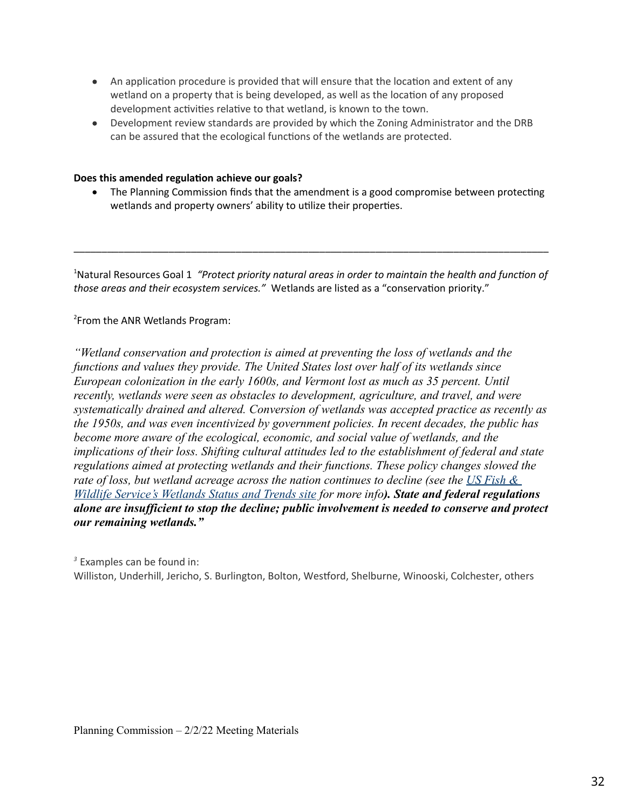- An application procedure is provided that will ensure that the location and extent of any wetland on a property that is being developed, as well as the location of any proposed development activities relative to that wetland, is known to the town.
- Development review standards are provided by which the Zoning Administrator and the DRB can be assured that the ecological functions of the wetlands are protected.

### **Does this amended regulation achieve our goals?**

 The Planning Commission finds that the amendment is a good compromise between protecting wetlands and property owners' ability to utilize their properties.

<sup>1</sup>Natural Resources Goal 1 *"Protect priority natural areas in order to maintain the health and function of those areas and their ecosystem services."* Wetlands are listed as a "conservation priority."

\_\_\_\_\_\_\_\_\_\_\_\_\_\_\_\_\_\_\_\_\_\_\_\_\_\_\_\_\_\_\_\_\_\_\_\_\_\_\_\_\_\_\_\_\_\_\_\_\_\_\_\_\_\_\_\_\_\_\_\_\_\_\_\_\_\_\_\_\_\_\_\_\_\_\_\_\_\_\_\_\_\_\_\_\_

<sup>2</sup> From the ANR Wetlands Program:

*"Wetland conservation and protection is aimed at preventing the loss of wetlands and the functions and values they provide. The United States lost over half of its wetlands since European colonization in the early 1600s, and Vermont lost as much as 35 percent. Until recently, wetlands were seen as obstacles to development, agriculture, and travel, and were systematically drained and altered. Conversion of wetlands was accepted practice as recently as the 1950s, and was even incentivized by government policies. In recent decades, the public has become more aware of the ecological, economic, and social value of wetlands, and the implications of their loss. Shifting cultural attitudes led to the establishment of federal and state regulations aimed at protecting wetlands and their functions. These policy changes slowed the rate of loss, but wetland acreage across the nation continues to decline (see the US Fish & Wildlife Service's Wetlands Status and Trends site for more info). State and federal regulations alone are insufficient to stop the decline; public involvement is needed to conserve and protect our remaining wetlands."*

*<sup>3</sup>*Examples can be found in: Williston, Underhill, Jericho, S. Burlington, Bolton, Westford, Shelburne, Winooski, Colchester, others